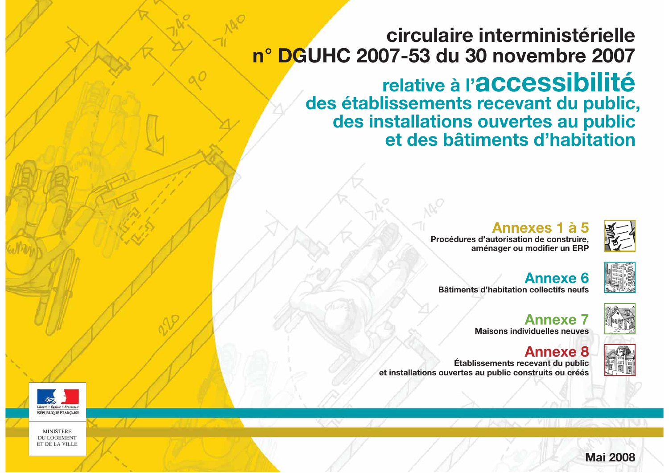# **n° DGUHC 2007-53 du 30 novembre 2007**

des établissements recevant du public, des installations ouvertes au public

> **Procédures d'autorisation de construire.** aménager ou modifier un ERP

**Annexe 8 Établissements recevant du public** et installations ouvertes au public construits ou créés



**MINISTERE DU LOGEMENT** ET DE LA VILLE

# **circulaire interministérielle** relative à l'accessibilité **et des bâtiments d'habitation**

# **Annexes 1 à 5**

**Annexe 6 Bâtiments d'habitation collectifs neufs** 

> **Annexe** 7 **Maisons individuelles neuves**









**Mai 2008**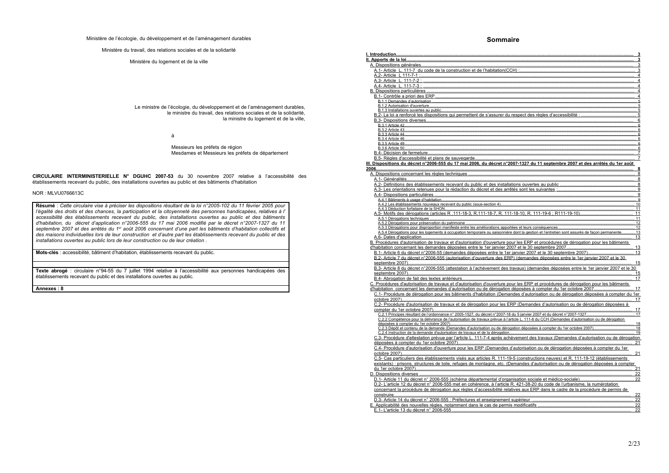Ministère de l'écologie, du développement et de l'aménagement durables

Ministère du travail, des relations sociales et de la solidarité

Ministère du logement et de la ville

Le ministre de l'écologie, du développement et de l'aménagement durables, le ministre du travail, des relations sociales et de la solidarité, la ministre du logement et de la ville,

à

Messieurs les préfets de région Mesdames et Messieurs les préfets de département

CIRCULAIRE INTERMINISTERIELLE N° DGUHC 2007-53 du 30 novembre 2007 relative à l'accessibilité des établissements recevant du public, des installations ouvertes au public et des bâtiments d'habitation

#### NOR: MLVU0766613C

Résumé : Cette circulaire vise à préciser les dispositions résultant de la loi n°2005-102 du 11 février 2005 pour l'égalité des droits et des chances, la participation et la citoyenneté des personnes handicapées, relatives à l' accessibilité des établissements recevant du public, des installations ouvertes au public et des bâtiments d'habitation, du décret d'application n°2006-555 du 17 mai 2006 modifié par le décret n°2007-1327 du 11 septembre 2007 et des arrêtés du 1<sup>er</sup> août 2006 concernant d'une part les bâtiments d'habitation collectifs et des maisons individuelles lors de leur construction et d'autre part les établissements recevant du public et des installations ouvertes au public lors de leur construction ou de leur création.

Mots-clés : accessibilité, bâtiment d'habitation, établissements recevant du public.

Texte abrogé : circulaire n°94-55 du 7 juillet 1994 relative à l'accessibilité aux personnes handicapées des établissements recevant du public et des installations ouvertes au public.

Annexes: 8

## **Sommaire**

| A.1- Article L. 111-7 du code de la construction et de l'habitation(         |
|------------------------------------------------------------------------------|
|                                                                              |
|                                                                              |
|                                                                              |
|                                                                              |
|                                                                              |
|                                                                              |
|                                                                              |
|                                                                              |
|                                                                              |
| B.2- La loi a renforcé les dispositions qui permettent de s'assurer d        |
|                                                                              |
|                                                                              |
|                                                                              |
|                                                                              |
|                                                                              |
|                                                                              |
|                                                                              |
|                                                                              |
| B.5- Règles d'accessibilité et plans de sauvegarde                           |
| III. Dispositions du décret n°2006-555 du 17 mai 2006, du décret n'          |
|                                                                              |
| A. Dispositions concernant les règles techniques                             |
|                                                                              |
| A.2- Définitions des établissements recevant du public et des insta          |
| A.3- Les orientations retenues pour la rédaction du décret et des a          |
|                                                                              |
|                                                                              |
| A.4.2 Les établissements nouveaux recevant du public (sous-section 4)        |
|                                                                              |
|                                                                              |
|                                                                              |
|                                                                              |
| A.5.3 Dérogations pour disproportion manifeste entre les améliorations app   |
| A.5.4 Dérogations pour les logements à occupation temporaire ou saisonnie    |
|                                                                              |
| B. Procédures d'autorisation de travaux et d'autorisation d'ouverture        |
| d'habitation concernant les demandes déposées entre le 1er janvier.          |
| B.1- Article 6 du décret n°2006-55 (demandes déposées entre le 1             |
| B.2- Article 7 du décret n°2006-555 (autorisation d'ouverture des E          |
|                                                                              |
|                                                                              |
|                                                                              |
|                                                                              |
| C. Procédures d'autorisation de travaux et d'autorisation d'ouverture        |
| d'habitation concernant les demandes d'autorisation ou de dérogation         |
| C.1- Procédure de dérogation pour les bâtiments d'habitation (Dem            |
|                                                                              |
| C.2- Procédure d'autorisation de travaux et de dérogation pour les           |
|                                                                              |
| C.2.1 Principes résultant de l'ordonnance n° 2005-1527, du décret n°2007-    |
| C.2.2 Compétence pour la délivrance de l'autorisation de travaux prévue à    |
|                                                                              |
| C.2.3 Dépôt et contenu de la demande (Demandes d'autorisation ou de dér      |
| C.2.4 Instruction de la demande d'autorisation de travaux et de la dérogatio |
| C.3- Procédure d'attestation prévue par l'article L. 111-7-4 après au        |
|                                                                              |
|                                                                              |
|                                                                              |
| C.5- Cas particuliers des établissements visés aux articles R. 111-          |
| existants) : prisons, structures de toile, refuges de montagne, etc.         |
|                                                                              |
|                                                                              |
|                                                                              |
| D.1- Article 11 du décret n° 2006-555 (schéma départemental d'orç            |
| D.2- L'article 12 du décret n° 2006-555 met en cohérence, à l'articl         |
| concernant la procédure de dérogation aux règles d'accessibilité re          |
|                                                                              |
| D.3- Article 14 du décret n° 2006-555 : Préfectures et enseignement          |
| E. Applicabilité des nouvelles règles, notamment dans le cas de perr         |
|                                                                              |
|                                                                              |

|                                                                                              | <u>3</u>             |
|----------------------------------------------------------------------------------------------|----------------------|
|                                                                                              | 3                    |
| <u>CCH)</u>                                                                                  | 3<br>3               |
|                                                                                              | 4                    |
|                                                                                              | 4                    |
|                                                                                              | 4                    |
|                                                                                              | 4<br>4               |
|                                                                                              | 5                    |
|                                                                                              | 5                    |
| <u>du respect des règles d'accessibilité</u>                                                 | 5<br><u>5</u>        |
|                                                                                              | <u>6</u>             |
|                                                                                              | <u>6</u>             |
|                                                                                              | <u>6</u><br><u>6</u> |
|                                                                                              | <u>6</u>             |
|                                                                                              | 6<br><u>6</u>        |
|                                                                                              | 7                    |
|                                                                                              | 7                    |
| °2007-13<br>septembre 2007                                                                   | 8                    |
|                                                                                              | 8                    |
|                                                                                              | <u>8</u><br>8        |
| <u>allations ouvertes au public</u><br>rrêtés sont les suivantes :                           | <u>9</u>             |
|                                                                                              | 9                    |
|                                                                                              | 9                    |
|                                                                                              | 10<br><u> 11</u>     |
| 11-18-10, R. 111-19-6 ; R111-19-10)                                                          | 11                   |
|                                                                                              | 11                   |
| <u>portées et leurs conséquences</u>                                                         | 12<br><u> 12</u>     |
| ière dont la gestion et l'entretien sont assurés de façon permanen                           | 13                   |
|                                                                                              | 13                   |
| pour les ERP et procédures de dérogation pour les bâtiments<br>2007 et le 30 septembre 2007. | 13                   |
| er janvier 2007 et le 30 septembre 2007)                                                     | 13                   |
| ERP) (demandes déposées entre le 1er janvier 200                                             |                      |
|                                                                                              | 15                   |
| s travaux) (demandes déposées entre le 1er janvier 2007 et le 30                             | 15                   |
|                                                                                              | 17                   |
| pour les ERP et procédures de dérogation pour les bâtiments                                  |                      |
| <u>on déposées à compter du 1er octobre 2007</u>                                             | 17                   |
| nandes d'autorisation ou de dérogation déposées à compter du 1er                             | 17                   |
| ERP (Demandes d'autorisation ou de dérogation déposées à                                     | 17                   |
| 18 du 5 janvier 2007 et du décret n°2007-1327                                                | 17                   |
| l'article L. 111-8 du CCH (Demandes d'autorisation ou de dérogation                          | 18                   |
| rogation déposées à compter du 1er octobre 2007)                                             | <u> 18</u>           |
| <u>pn</u>                                                                                    | 19                   |
| chèvement des travaux (Demandes d'autorisation ou de dérogation                              | 21                   |
| s d'autorisation ou de dérogation déposées à compter du 1er                                  | 21                   |
| 19-5 (constructions neuves) et R. 111-19-12 (établissements                                  |                      |
| (Demandes d'autorisation ou de dérogation déposées à compter<br>.                            | 21                   |
| .                                                                                            | 22                   |
|                                                                                              | 22                   |
| le R. 421-38-20 du code de l'urbanisme, la numérotation                                      |                      |
| elatives aux ERP dans le cadre de la procédure de permis de<br><u></u>                       | 22                   |
| nt supérieur                                                                                 | 22                   |
|                                                                                              | <u>22</u>            |
|                                                                                              | <u>22</u>            |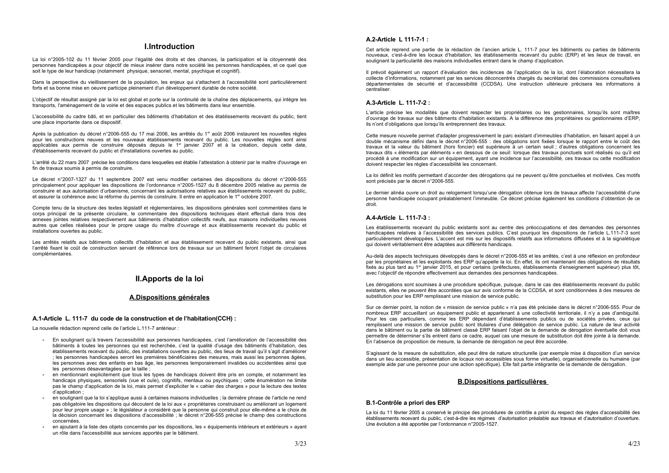# **I.Introduction**

La loi n°2005-102 du 11 février 2005 pour l'égalité des droits et des chances, la participation et la citoyenneté des personnes handicapées a pour objectif de mieux insérer dans notre société les personnes handicapées, et ce quel que soit le type de leur handicap (notamment physique, sensoriel, mental, psychique et cognitif).

Dans la perspective du vieillissement de la population, les enjeux qui s'attachent à l'accessibilité sont particulièrement forts et sa bonne mise en oeuvre participe pleinement d'un développement durable de notre société.

L'obiectif de résultat assigné par la loi est global et porte sur la continuité de la chaîne des déplacements, qui intègre les transports, l'aménagement de la voirie et des espaces publics et les bâtiments dans leur ensemble.

L'accessibilité du cadre bâti, et en particulier des bâtiments d'habitation et des établissements recevant du public, tient une place importante dans ce dispositif.

Après la publication du décret n°2006-555 du 17 mai 2006, les arrêtés du 1<sup>er</sup> août 2006 instaurent les nouvelles règles pour les constructions neuves et les nouveaux établissements recevant du public. Les nouvelles règles sont ainsi applicables aux permis de construire déposés depuis le 1<sup>er</sup> janvier 2007 et à la création, depuis cette date, d'établissements recevant du public et d'installations ouvertes au public.

L'arrêté du 22 mars 2007 précise les conditions dans lesquelles est établie l'attestation à obtenir par le maître d'ouvrage en fin de travaux soumis à permis de construire.

Le décret n°2007-1327 du 11 septembre 2007 est venu modifier certaines des dispositions du décret n°2006-555 principalement pour appliquer les dispositions de l'ordonnance n°2005-1527 du 8 décembre 2005 relative au permis de construire et aux autorisation d'urbanisme, concernant les autorisations relatives aux établissements recevant du public. et assurer la cohérence avec la réforme du permis de construire. Il entre en application le 1<sup>er</sup> octobre 2007.

Compte tenu de la structure des textes législatif et réglementaires, les dispositions générales sont commentées dans le corps principal de la présente circulaire. le commentaire des dispositions techniques étant effectué dans trois des annexes jointes relatives respectivement aux bâtiments d'habitation collectifs neufs, aux maisons individuelles neuves autres que celles réalisées pour le propre usage du maître d'ouvrage et aux établissements recevant du public et installations ouvertes au public.

Les arrêtés relatifs aux bâtiments collectifs d'habitation et aux établissement recevant du public existants, ainsi que l'arrêté fixant le coût de construction servant de référence lors de travaux sur un bâtiment feront l'objet de circulaires complémentaires.

# II. Apports de la loi

# A.Dispositions générales

# A.1-Article L. 111-7 du code de la construction et de l'habitation(CCH) :

La nouvelle rédaction reprend celle de l'article L.111-7 antérieur :

- En soulignant qu'à travers l'accessibilité aux personnes handicapées, c'est l'amélioration de l'accessibilité des bâtiments à toutes les personnes qui est recherchée, c'est la qualité d'usage des bâtiments d'habitation, des établissements recevant du public, des installations ouvertes au public, des lieux de travail qu'il s'agit d'améliorer ; les personnes handicapées seront les premières bénéficiaires des mesures, mais aussi les personnes âgées, les personnes avec des enfants en bas âge, les personnes temporairement invalides ou accidentées ainsi que les personnes désavantagées par la taille :
- en mentionnant explicitement que tous les types de handicaps doivent être pris en compte, et notamment les handicaps physiques, sensoriels (vue et ouïe), cognitifs, mentaux ou psychiques ; cette énumération ne limite pas le champ d'application de la loi, mais permet d'expliciter le « cahier des charges » pour la lecture des textes d'application :
- en soulignant que la loi s'applique aussi à certaines maisons individuelles : la dernière phrase de l'article ne rend pas obligatoire les dispositions qui découlent de la loi aux « propriétaires construisant ou améliorant un logement pour leur propre usage » : le législateur a considéré que la personne qui construit pour elle-même a le choix de la décision concernant les dispositions d'accessibilité : le décret n°206-555 précise le champ des constructions concernées.
- en ajoutant à la liste des objets concernés par les dispositions, les « équipements intérieurs et extérieurs » ayant un rôle dans l'accessibilité aux services apportés par le bâtiment.

# A.2-Article L 111-7-1 :

Cet article reprend une partie de la rédaction de l'ancien article L. 111-7 pour les bâtiments ou parties de bâtiments nouveaux, c'est-à-dire les locaux d'habitation, les établissements recevant du public (ERP) et les lieux de travail, en soulignant la particularité des maisons individuelles entrant dans le champ d'application.

Il prévoit également un rapport d'évaluation des incidences de l'application de la loi, dont l'élaboration nécessitera la collecte d'informations, notamment par les services déconcentrés chargés du secrétariat des commissions consultatives départementales de sécurité et d'accessibilité (CCDSA). Une instruction ultérieure précisera les informations à centraliser

### A.3-Article L. 111-7-2 :

L'article précise les modalités que doivent respecter les propriétaires ou les gestionnaires, lorsqu'ils sont maîtres d'ouvrage de travaux sur des bâtiments d'habitation existants. A la différence des propriétaires ou gestionnaires d'ERP, ils n'ont d'obligations que lorsqu'ils entreprennent des travaux.

Cette mesure nouvelle permet d'adapter progressivement le parc existant d'immeubles d'habitation, en faisant appel à un double mécanisme défini dans le décret n°2006-555 : des obligations sont fixées lorsque le rapport entre le coût des travaux et la valeur du bâtiment (hors foncier) est supérieure à un certain seuil : d'autres obligations concernent les travaux dits « éléments par éléments » en dessous de ce seuil: lorsque des travaux ponctuels sont réalisés ou qu'il est procédé à une modification sur un équipement, ayant une incidence sur l'accessibilité, ces travaux ou cette modification doivent respecter les règles d'accessibilité les concernant.

La loi définit les motifs permettant d'accorder des dérogations qui ne peuvent qu'être ponctuelles et motivées. Ces motifs sont précisés par le décret n°2006-555.

Le dernier alinéa ouvre un droit au relogement lorsqu'une dérogation obtenue lors de travaux affecte l'accessibilité d'une personne handicapée occupant préalablement l'immeuble. Ce décret précise également les conditions d'obtention de ce droit

### A.4-Article L. 111-7-3 :

Les établissements recevant du public existants sont au centre des préoccupations et des demandes des personnes handicapées relatives à l'accessibilité des services publics. C'est pourquoi les dispositions de l'article L.111-7-3 sont particulièrement développées. L'accent est mis sur les dispositifs relatifs aux informations diffusées et à la signalétique qui doivent véritablement être adaptées aux différents handicaps.

Au-delà des aspects techniques développés dans le décret n°2006-555 et les arrêtés, c'est à une réflexion en profondeur par les propriétaires et les exploitants des ERP qu'appelle la loi. En effet, ils ont maintenant des obligations de résultats fixés au plus tard au 1<sup>er</sup> janvier 2015, et pour certains (préfectures, établissements d'enseignement supérieur) plus tôt, avec l'objectif de répondre effectivement aux demandes des personnes handicapées.

Les dérogations sont soumises à une procédure spécifique, puisque, dans le cas des établissements recevant du public existants, elles ne peuvent être accordées que sur avis conforme de la CCDSA, et sont conditionnées à des mesures de substitution pour les ERP remplissant une mission de service public.

Sur ce dernier point, la notion de « mission de service public » n'a pas été précisée dans le décret n°2006-555. Pour de nombreux ERP accueillant un équipement public et appartenant à une collectivité territoriale, il n'y a pas d'ambiguïté. Pour les cas particuliers, comme les ERP dépendant d'établissements publics ou de sociétés privées, ceux qui remplissent une mission de service public sont titulaires d'une délégation de service public. La nature de leur activité dans le bâtiment ou la partie de bâtiment classé ERP faisant l'objet de la demande de dérogation éventuelle doit vous permettre de déterminer s'ils entrent dans ce cadre, auguel cas une mesure de substitution doit être jointe à la demande. En l'absence de proposition de mesure, la demande de dérogation ne peut être accordée.

S'agissant de la mesure de substitution, elle peut être de nature structurelle (par exemple mise à disposition d'un service dans un lieu accessible, présentation de locaux non accessibles sous forme virtuelle), organisationnelle ou humaine (par exemple aide par une personne pour une action spécifique). Elle fait partie intégrante de la demande de dérogation.

# **B.Dispositions particulières**

#### **B.1-Contrôle a priori des ERP**

La loi du 11 février 2005 a conservé le principe des procédures de contrôle a priori du respect des règles d'accessibilité des établissements recevant du public, c'est-à-dire les régimes d'autorisation préalable aux travaux et d'autorisation d'ouverture. Une évolution a été apportée par l'ordonnance n°2005-1527.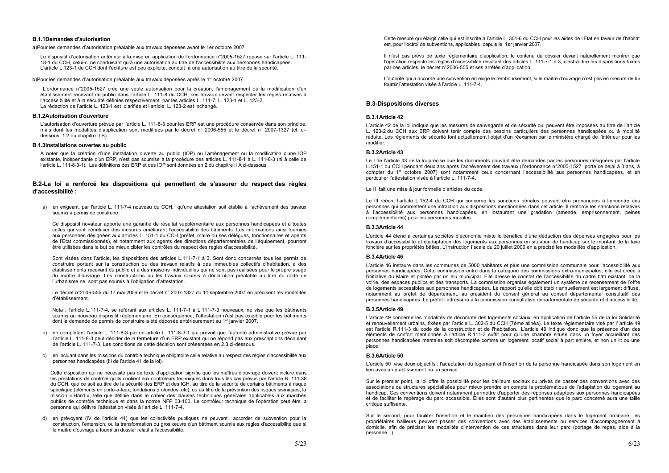#### **B.1.1Demandes d'autorisation**

#### a)Pour les demandes d'autorisation préalable aux travaux déposées avant le 1er octobre 2007

Le dispositif d'autorisation antérieur à la mise en application de l'ordonnance n°2005-1527 repose sur l'article L. 111-18-1 du CCH, celui-ci ne conduisant qu'à une autorisation au titre de l'accessibilité aux personnes handicapées. L'article L.123-1 du CCH dont l'écriture est peu explicite, conduit à une autorisation au titre de la sécurité.

#### b)Pour les demandes d'autorisation préalable aux travaux déposées après le 1<sup>er</sup> octobre 2007

L'ordonnance n°2005-1527 crée une seule autorisation pour la création, l'aménagement ou la modification d'un établissement recevant du public dans l'article L. 111-8 du CCH, ces travaux devant respecter les règles relatives à l'accessibilité et à la sécurité définies respectivement par les articles L. 111-7, L. 123-1 et L. 123-2. La rédaction de l'article L. 123-1 est clarifiée et l'article L. 123-2 est inchangé.

#### **B.1.2Autorisation d'ouverture**

L'autorisation d'ouverture prévue par l'article L. 111-8-3 pour les ERP est une procédure conservée dans son principe, mais dont les modalités d'application sont modifiées par le décret n° 2006-555 et le décret n° 2007-1327 (cf. cidessous 1.2 du chapitre II B).

#### **B.1.3Installations ouvertes au public**

A noter que la création d'une installation ouverte au public (IOP) ou l'aménagement ou la modification d'une IOP existante, indépendante d'un ERP, n'est pas soumise à la procédure des articles L, 111-8-1 à L, 111-8-3 (ni à celle de l'article L. 111-8-3-1). Les définitions des ERP et des IOP sont données en 2 du chapitre II A ci-dessous.

#### B.2-La loi a renforcé les dispositions qui permettent de s'assurer du respect des règles d'accessibilité :

a) en exigeant, par l'article L. 111-7-4 nouveau du CCH, qu'une attestation soit établie à l'achèvement des travaux soumis à permis de construire.

Ce dispositif novateur apporte une garantie de résultat supplémentaire aux personnes handicapées et à toutes celles qui vont bénéficier des mesures améliorant l'accessibilité des bâtiments. Les informations ainsi fournies aux personnes désignées aux articles L. 151-1 du CCH (préfet, maire ou ses délégués, fonctionnaires et agents de l'Etat commissionnés), et notamment aux agents des directions départementales de l'équipement, pourront être utilisées dans le but de mieux cibler les contrôles du respect des règles d'accessibilité.

Sont visées dans l'article, les dispositions des articles L.111-7-1 à 3. Sont donc concernés tous les permis de construire portant sur la construction ou des travaux relatifs à des immeubles collectifs d'habitation, à des établissements recevant du public et à des maisons individuelles qui ne sont pas réalisées pour le propre usage du maître d'ouvrage. Les constructions ou les travaux soumis à déclaration préalable au titre du code de l'urbanisme ne sont pas soumis à l'obligation d'attestation.

Le décret n°2006-555 du 17 mai 2006 et le décret n° 2007-1327 du 11 septembre 2007 en précisent les modalités d'établissement.

Nota : l'article L.111-7-4, se référant aux articles L. 111-7-1 à L.111-7-3 nouveaux, ne vise que les bâtiments soumis au nouveau dispositif réglementaire. En conséquence, l'attestation n'est pas exigible pour les bâtiments dont la demande de permis de construire a été déposée antérieurement au 1<sup>er</sup> janvier 2007.

- b) en complétant l'article L. 111-8-3 par un article L. 111-8-3-1 qui prévoit que l'autorité administrative prévue par l'article L. 111-8-3 peut décider de la fermeture d'un ERP existant qui ne répond pas aux prescriptions découlant de l'article L. 111-7-3. Les conditions de cette décision sont présentées en 2.3 ci-dessous.
- c) en incluant dans les missions du contrôle technique obligatoire celle relative au respect des règles d'accessibilité aux personnes handicapées (III de l'article 41 de la loi).

Cette disposition qui ne nécessite pas de texte d'application signifie que les maîtres d'ouvrage doivent inclure dans les prestations de contrôle qu'ils confient aux contrôleurs techniques dans tous les cas prévus par l'article R, 111-38 du CCH, que ce soit au titre de la sécurité des ERP et des IGH, au titre de la sécurité de certains bâtiments à risque spécifique (éléments en porte-à-faux, fondations profondes, etc), ou au titre de la prévention des risques sismiques, la mission « Hand », telle que définie dans le cahier des clauses techniques générales applicables aux marchés publics de contrôle technique et dans la norme NFP 03-100. Le contrôleur technique de l'opération peut être la personne qui délivre l'attestation visée à l'article L. 111-7-4.

d) en prévoyant (IV de l'article 41) que les collectivités publiques ne peuvent accorder de subvention pour la construction, l'extension, ou la transformation du gros œuvre d'un bâtiment soumis aux règles d'accessibilité que si le maître d'ouvrage a fourni un dossier relatif à l'accessibilité.

Cette mesure qui élargit celle qui est inscrite à l'article L. 301-6 du CCH pour les aides de l'Etat en faveur de l'habitat est, pour l'octroi de subventions, applicables depuis le 1er janvier 2007.

Il n'est pas prévu de texte réglementaire d'application, le contenu du dossier devant naturellement montrer que l'opération respecte les règles d'accessibilité résultant des articles L. 111-7-1 à 3, c'est-à-dire les dispositions fixées par ces articles, le décret n°2006-555 et ses arrêtés d'application.

L'autorité qui a accordé une subvention en exige le remboursement, si le maître d'ouvrage n'est pas en mesure de lui fournir l'attestation visée à l'article L. 111-7-4.

### **B.3-Dispositions diverses**

#### **B.3 1 Article 42**

L'article 42 de la loi indique que les mesures de sauvegarde et de sécurité qui peuvent être imposées au titre de l'article L. 123-2 du CCH aux ERP doivent tenir compte des besoins particuliers des personnes handicapées ou à mobilité réduite. Les règlements de sécurité font actuellement l'objet d'un réexamen par le ministère chargé de l'intérieur pour les modifier.

#### B.3.2Article 43

Le I de l'article 43 de la loi précise que les documents pouvant être demandés par les personnes désignées par l'article L.151-1 du CCH pendant deux ans après l'achèvement des travaux (l'ordonnance n°2005-1527 porte ce délai à 3 ans, à compter du 1<sup>er</sup> octobre 2007) sont notamment ceux concernant l'accessibilité aux personnes handicapées, et en particulier l'attestation visée à l'article L. 111-7-4.

Le II fait une mise à jour formelle d'articles du code.

Le III réécrit l'article L.152-4 du CCH qui concerne les sanctions pénales pouvant être prononcées à l'encontre des personnes qui commettent une infraction aux dispositions mentionnées dans cet article. Il renforce les sanctions relatives à l'accessibilité aux personnes handicapées, en instaurant une gradation (amende, emprisonnement, peines complémentaires) pour les personnes morales.

#### **B.3.3Article 44**

L'article 44 étend à certaines sociétés d'économie mixte le bénéfice d'une déduction des dépenses engagées pour les travaux d'accessibilité et d'adaptation des logements aux personnes en situation de handicap sur le montant de la taxe foncière sur les propriétés bâties. L'instruction fiscale du 20 juillet 2006 en a précisé les modalités d'application.

#### B.3.4Article 46

L'article 46 instaure dans les communes de 5000 habitants et plus une commission communale pour l'accessibilité aux personnes handicapées. Cette commission entre dans la catégorie des commissions extra-municipales, elle est créée à l'initiative du Maire et pilotée par un élu municipal. Elle dresse le constat de l'accessibilité du cadre bâti existant, de la voirie, des espaces publics et des transports. La commission organise également un système de recensement de l'offre de logements accessibles aux personnes handicapées. Le rapport qu'elle doit établir annuellement est largement diffusé, notamment au préfet de département, au président du conseil général au conseil départemental consultatif des personnes handicapées. Le préfet l'adressera à la commission consultative départementale de sécurité et d'accessibilité.

#### B.3.5Article 49

L'article 49 concerne les modalités de décompte des logements sociaux, en application de l'article 55 de la loi Solidarité et renouvellement urbains, fixées par l'article L. 302-5 du CCH (7ème alinéa). Le texte réglementaire visé par l'article 49 est l'article R.111-3 du code de la construction et de l'habitation. L'article 49 indique donc que la présence d'un des éléments de confort mentionnés à l'article R.111-3 suffit pour qu'une chambre située dans un fover accueillant des personnes handicapées mentales soit décomptée comme un logement locatif social à part entière, et non un lit ou une place.

#### B.3.6Article 50

L'article 50 vise deux objectifs : l'adaptation du logement et l'insertion de la personne handicapée dans son logement en lien avec un établissement ou un service.

Sur le premier point, la loi offre la possibilité pour les bailleurs sociaux ou privés de passer des conventions avec des associations ou structures spécialisées pour mieux prendre en compte la problématique de l'adaptation du logement au handicap. Ces conventions doivent notamment permettre d'apporter des réponses adaptées aux personnes handicapées et de faciliter le repérage du parc accessible. Elles sont d'autant plus pertinentes que le parc concerné aura une taille critique suffisante.

Sur le second, pour faciliter l'insertion et le maintien des personnes handicapées dans le logement ordinaire, les propriétaires bailleurs peuvent passer des conventions avec des établissements ou services d'accompagnement à domicile, afin de préciser les modalités d'intervention de ces structures dans leur parc (portage de repas, aide à la  $personne...)$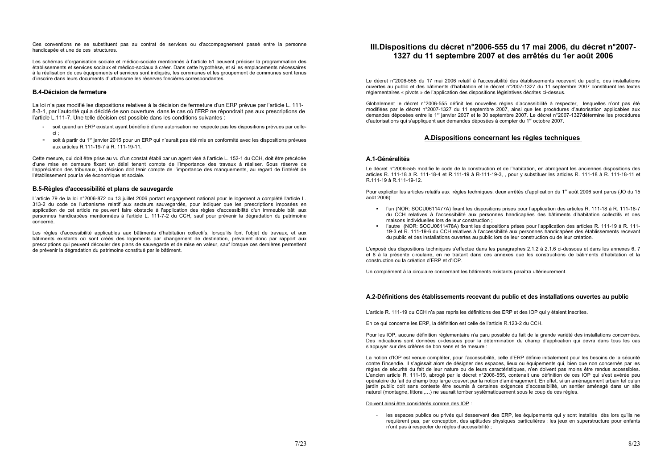Ces conventions ne se substituent pas au contrat de services ou d'accompagnement passé entre la personne handicapée et une de ces structures.

Les schémas d'organisation sociale et médico-sociale mentionnés à l'article 51 peuvent préciser la programmation des établissements et services sociaux et médico-sociaux à créer. Dans cette hypothèse, et si les emplacements nécessaires à la réalisation de ces équipements et services sont indiqués, les communes et les groupement de communes sont tenus d'inscrire dans leurs documents d'urbanisme les réserves foncières correspondantes.

# **B.4-Décision de fermeture**

La loi n'a pas modifié les dispositions relatives à la décision de fermeture d'un ERP prévue par l'article L, 111-8-3-1, par l'autorité qui a décidé de son ouverture, dans le cas où l'ERP ne répondrait pas aux prescriptions de l'article L.111-7. Une telle décision est possible dans les conditions suivantes :

- soit quand un ERP existant avant bénéficié d'une autorisation ne respecte pas les dispositions prévues par celleci :
- soit à partir du 1<sup>er</sup> janvier 2015 pour un ERP qui n'aurait pas été mis en conformité avec les dispositions prévues aux articles R.111-19-7 à R. 111-19-11.

Cette mesure, qui doit être prise au vu d'un constat établi par un agent visé à l'article L, 152-1 du CCH, doit être précédée d'une mise en demeure fixant un délai tenant compte de l'importance des travaux à réaliser. Sous réserve de l'appréciation des tribunaux, la décision doit tenir compte de l'importance des manquements, au regard de l'intérêt de l'établissement pour la vie économique et sociale.

# B.5-Règles d'accessibilité et plans de sauvegarde

L'article 79 de la loi n°2006-872 du 13 juillet 2006 portant engagement national pour le logement a complété l'article L. 313-2 du code de l'urbanisme relatif aux secteurs sauvegardés, pour indiquer que les prescriptions imposées en application de cet article ne peuvent faire obstacle à l'application des règles d'accessibilité d'un immeuble bâti aux personnes handicapées mentionnées à l'article L. 111-7-2 du CCH, sauf pour prévenir la dégradation du patrimoine concerné.

Les règles d'accessibilité applicables aux bâtiments d'habitation collectifs, lorsqu'ils font l'objet de travaux, et aux bâtiments existants où sont créés des logements par changement de destination, prévalent donc par rapport aux prescriptions qui peuvent découler des plans de sauvegarde et de mise en valeur, sauf lorsque ces dernières permettent de prévenir la dégradation du patrimoine constitué par le bâtiment.

# III. Dispositions du décret n°2006-555 du 17 mai 2006, du décret n°2007-1327 du 11 septembre 2007 et des arrêtés du 1er août 2006

Le décret n°2006-555 du 17 mai 2006 relatif à l'accessibilité des établissements recevant du public, des installations ouvertes au public et des bâtiments d'habitation et le décret n°2007-1327 du 11 septembre 2007 constituent les textes réglementaires « pivots » de l'application des dispositions législatives décrites ci-dessus.

Globalement le décret n°2006-555 définit les nouvelles règles d'accessibilité à respecter, lesquelles n'ont pas été modifiées par le décret n°2007-1327 du 11 septembre 2007, ainsi que les procédures d'autorisation applicables aux demandes déposées entre le 1<sup>er</sup> janvier 2007 et le 30 septembre 2007. Le décret n°2007-1327 détermine les procédures d'autorisations qui s'appliquent aux demandes déposées à compter du 1<sup>er</sup> octobre 2007.

# A.Dispositions concernant les règles techniques

# A 1-Généralités

Le décret n°2006-555 modifie le code de la construction et de l'habitation, en abrogeant les anciennes dispositions des articles R. 111-18 à R. 111-18-4 et R.111-19 à R-111-19-3,, pour y substituer les articles R. 111-18 à R. 111-18-11 et R.111-19 à R.111-19-12.

Pour expliciter les articles relatifs aux règles techniques, deux arrêtés d'application du 1er août 2006 sont parus (JO du 15  $a$ oût 2006):

- maisons individuelles lors de leur construction ;
- du public et des installations ouvertes au public lors de leur construction ou de leur création.

L'exposé des dispositions techniques s'effectue dans les paragraphes 2.1.2 à 2.1.6 ci-dessous et dans les annexes 6, 7 et 8 à la présente circulaire, en ne traitant dans ces annexes que les constructions de bâtiments d'habitation et la construction ou la création d'ERP et d'IOP.

Un complément à la circulaire concernant les bâtiments existants paraîtra ultérieurement.

# A.2-Définitions des établissements recevant du public et des installations ouvertes au public

L'article R. 111-19 du CCH n'a pas repris les définitions des ERP et des IOP qui y étaient inscrites.

En ce qui concerne les ERP, la définition est celle de l'article R.123-2 du CCH.

Pour les IOP, aucune définition réglementaire n'a paru possible du fait de la grande variété des installations concernées. Des indications sont données ci-dessous pour la détermination du champ d'application qui devra dans tous les cas s'appuyer sur des critères de bon sens et de mesure :

La notion d'IOP est venue compléter, pour l'accessibilité, celle d'ERP définie initialement pour les besoins de la sécurité contre l'incendie. Il s'agissait alors de désigner des espaces, lieux ou équipements qui, bien que non concernés par les règles de sécurité du fait de leur nature ou de leurs caractéristiques, n'en doivent pas moins être rendus accessibles. L'ancien article R. 111-19, abrogé par le décret n°2006-555, contenait une définition de ces IOP qui s'est avérée peu opératoire du fait du champ trop large couvert par la notion d'aménagement. En effet, si un aménagement urbain tel qu'un jardin public doit sans conteste être soumis à certaines exigences d'accessibilité, un sentier aménagé dans un site naturel (montagne, littoral,...) ne saurait tomber systématiquement sous le coup de ces règles.

Doivent ainsi être considérés comme des IOP :

n'ont pas à respecter de règles d'accessibilité ;

" I'un (NOR: SOCU0611477A) fixant les dispositions prises pour l'application des articles R. 111-18 à R. 111-18-7 du CCH relatives à l'accessibilité aux personnes handicapées des bâtiments d'habitation collectifs et des

- l'autre (NOR: SOCU0611478A) fixant les dispositions prises pour l'application des articles R. 111-19 à R. 111-19-3 et R. 111-19-6 du CCH relatives à l'accessibilité aux personnes handicapées des établissements recevant

- les espaces publics ou privés qui desservent des ERP, les équipements qui y sont installés dès lors qu'ils ne requièrent pas, par conception, des aptitudes physiques particulières : les jeux en superstructure pour enfants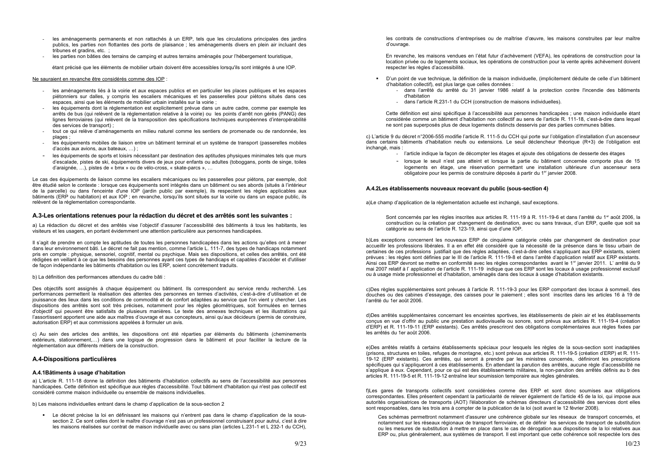- les aménagements permanents et non rattachés à un ERP, tels que les circulations principales des jardins publics, les parties non flottantes des ports de plaisance : les aménagements divers en plein air incluant des tribunes et gradins, etc. ;
- les parties non bâties des terrains de camping et autres terrains aménagés pour l'hébergement touristique,

étant précisé que les éléments de mobilier urbain doivent être accessibles lorsqu'ils sont intégrés à une IOP.

#### Ne sauraient en revanche être considérés comme des IOP :

- les aménagements liés à la voirie et aux espaces publics et en particulier les places publiques et les espaces piétonniers sur dalles, y compris les escaliers mécaniques et les passerelles pour piétons situés dans ces espaces, ainsi que les éléments de mobilier urbain installés sur la voirie ;
- les équipements dont la réglementation est explicitement prévue dans un autre cadre, comme par exemple les arrêts de bus (qui relèvent de la réglementation relative à la voirie) ou les points d'arrêt non gérés (PANG) des lignes ferroviaires (qui relèvent de la transposition des spécifications techniques européennes d'interopérabilité des services de transport);
- tout ce qui relève d'aménagements en milieu naturel comme les sentiers de promenade ou de randonnée, les plages;
- les équipements mobiles de liaison entre un bâtiment terminal et un système de transport (passerelles mobiles d'accès aux avions, aux bateaux, ...);
- les équipements de sports et loisirs nécessitant par destination des aptitudes physiques minimales tels que murs d'escalade, pistes de ski, équipements divers de jeux pour enfants ou adultes (toboggans, ponts de singe, toiles d'araignée, ...), pistes de « bmx » ou de vélo-cross, « skate-parcs », ...

Le cas des équipements de liaison comme les escaliers mécaniques ou les passerelles pour piétons, par exemple, doit être étudié selon le contexte : lorsque ces équipements sont intégrés dans un bâtiment ou ses abords (situés à l'intérieur de la parcelle) ou dans l'enceinte d'une IOP (jardin public par exemple), ils respectent les règles applicables aux bâtiments (ERP ou habitation) et aux IOP : en revanche. lorsqu'ils sont situés sur la voirie ou dans un espace public, ils relèvent de la réglementation correspondante.

#### A.3-Les orientations retenues pour la rédaction du décret et des arrêtés sont les suivantes :

a) La rédaction du décret et des arrêtés vise l'objectif d'assurer l'accessibilité des bâtiments à tous les habitants, les visiteurs et les usagers, en portant évidemment une attention particulière aux personnes handicapées.

Il s'agit de prendre en compte les aptitudes de toutes les personnes handicapées dans les actions qu'elles ont à mener dans leur environnement bâti. Le décret ne fait pas mention, comme l'article L. 111-7, des types de handicaps notamment pris en compte : physique, sensoriel, cognitif, mental ou psychique. Mais ses dispositions, et celles des arrêtés, ont été rédigées en veillant à ce que les besoins des personnes ayant ces types de handicaps et capables d'accéder et d'utiliser de facon indépendante les bâtiments d'habitation ou les ERP, soient concrètement traduits.

b) La définition des performances attendues du cadre bâti :

Des objectifs sont assignés à chaque équipement ou bâtiment. Ils correspondent au service rendu recherché. Les performances permettent la réalisation des attentes des personnes en termes d'activités, c'est-à-dire d'utilisation et de jouissance des lieux dans les conditions de commodité et de confort adaptées au service que l'on vient y chercher. Les dispositions des arrêtés sont soit très précises, notamment pour les règles géométriques, soit formulées en termes d'objectif qui peuvent être satisfaits de plusieurs manières. Le texte des annexes techniques et les illustrations qui l'assortissent apportent une aide aux maîtres d'ouvrage et aux concepteurs, ainsi qu'aux décideurs (permis de construire, autorisation ERP) et aux commissions appelées à formuler un avis.

c) Au sein des articles des arrêtés, les dispositions ont été réparties par éléments du bâtiments (cheminements extérieurs, stationnement,...) dans une logique de progression dans le bâtiment et pour faciliter la lecture de la réglementation aux différents métiers de la construction.

#### A.4-Dispositions particulières

#### A.4.1Bâtiments à usage d'habitation

a) L'article R. 111-18 donne la définition des bâtiments d'habitation collectifs au sens de l'accessibilité aux personnes handicapées. Cette définition est spécifique aux règles d'accessibilité. Tout bâtiment d'habitation qui n'est pas collectif est considéré comme maison individuelle ou ensemble de maisons individuelles.

b) Les maisons individuelles entrant dans le champ d'application de la sous-section 2

- Le décret précise la loi en définissant les maisons qui n'entrent pas dans le champ d'application de la soussection 2. Ce sont celles dont le maître d'ouvrage n'est pas un professionnel construisant pour autrui, c'est à dire les maisons réalisées sur contrat de maison individuelle avec ou sans plan (articles L.231-1 et L 232-1 du CCH), les contrats de constructions d'entreprises ou de maîtrise d'œuvre, les maisons construites par leur maître d'ouvrage.

En revanche, les maisons vendues en l'état futur d'achèvement (VEFA), les opérations de construction pour la location privée ou de logements sociaux, les opérations de construction pour la vente après achèvement doivent respecter les règles d'accessibilité.

- d'habitation collectif), est plus large que celles données :
	- dans l'arrêté du arrêté du 31 janvier 1986 relatif à la protection contre l'incendie des bâtiments d'habitation
	- dans l'article R.231-1 du CCH (construction de maisons individuelles).

Cette définition est ainsi spécifique à l'accessibilité aux personnes handicapées ; une maison individuelle étant considérée comme un bâtiment d'habitation non collectif au sens de l'article R. 111-18, c'est-à-dire dans lequel ne sont pas superposés plus de deux logements distincts desservis par des parties communes bâties.

c) L'article 9 du décret n°2006-555 modifie l'article R. 111-5 du CCH qui porte sur l'obligation d'installation d'un ascenseur dans certains bâtiments d'habitation neufs ou extensions. Le seuil déclencheur théorique (R+3) de l'obligation est inchangé, mais :

- 
- obligatoire pour les permis de construire déposés à partir du 1er janvier 2008.

#### A.4.2Les établissements nouveaux recevant du public (sous-section 4)

a)Le champ d'application de la réglementation actuelle est inchangé, sauf exceptions.

Sont concernés par les règles inscrites aux articles R. 111-19 à R. 111-19-6 et dans l'arrêté du 1er août 2006, la construction ou la création par changement de destination, avec ou sans travaux, d'un ERP, quelle que soit sa catégorie au sens de l'article R. 123-19, ainsi que d'une IOP.

b)Les exceptions concernent les nouveaux ERP de cinquième catégorie créés par changement de destination pour accueillir les professions libérales. Il a en effet été considéré que la nécessité de la présence dans le tissu urbain de certaines de ces professions justifiait que des règles adaptées, c'est-à-dire celles s'appliquant aux ERP existants, soient prévues : les règles sont définies par le III de l'article R. 111-19-8 et dans l'arrêté d'application relatif aux ERP existants. Ainsi ces ERP devront se mettre en conformité avec les règles correspondantes avant le 1<sup>er</sup> janvier 2011. L'arrêté du 9 mai 2007 relatif à l'application de l'article R. 111-19 indique que ces ERP sont les locaux à usage professionnel exclusif ou à usage mixte professionnel et d'habitation, aménagés dans des locaux à usage d'habitation existants.

c)Des règles supplémentaires sont prévues à l'article R. 111-19-3 pour les ERP comportant des locaux à sommeil, des douches ou des cabines d'essayage, des caisses pour le paiement ; elles sont inscrites dans les articles 16 à 19 de l'arrêté du 1er août 2006.

d)Des arrêtés supplémentaires concernant les enceintes sportives, les établissements de plein air et les établissements concus en vue d'offrir au public une prestation audiovisuelle ou sonore, sont prévus aux articles R, 111-19-4 (création d'ERP) et R. 111-19-11 (ERP existants). Ces arrêtés prescriront des obligations complémentaires aux règles fixées par les arrêtés du 1er août 2006.

e)Des arrêtés relatifs à certains établissements spéciaux pour lesquels les règles de la sous-section sont inadaptées (prisons, structures en toiles, refuges de montagne, etc.) sont prévus aux articles R, 111-19-5 (création d'ERP) et R, 111-19-12 (ERP existants). Ces arrêtés, qui seront à prendre par les ministres concernés, définiront les prescriptions spécifiques qui s'appliqueront à ces établissements. En attendant la parution des arrêtés, aucune règle d'accessibilité ne s'applique à eux. Cependant, pour ce qui est des établissements militaires, la non-parution des arrêtés définis au b des articles R. 111-19-5 et R. 111-19-12 entraîne leur soumission temporaire aux règles générales.

f)Les gares de transports collectifs sont considérées comme des ERP et sont donc soumises aux obligations correspondantes. Elles présentent cependant la particularité de relever également de l'article 45 de la loi, qui impose aux autorités organisatrices de transports (AOT) l'élaboration de schémas directeurs d'accessibilité des services dont elles sont responsables, dans les trois ans à compter de la publication de la loi (soit avant le 12 février 2008).

Ces schémas permettront notamment d'assurer une cohérence globale sur les réseaux de transport concernés, et notamment sur les réseaux régionaux de transport ferroviaire, et de définir les services de transport de substitution ou les mesures de substitution à mettre en place dans le cas de dérogation aux dispositions de la loi relatives aux ERP ou, plus généralement, aux systèmes de transport. Il est important que cette cohérence soit respectée lors des

D'un point de vue technique, la définition de la maison individuelle, (implicitement déduite de celle d'un bâtiment

- l'article indique la façon de décompter les étages et ajoute des obligations de desserte des étages

- lorsque le seuil n'est pas atteint et lorsque la partie du bâtiment concernée comporte plus de 15 logements en étage, une réservation permettant une installation ultérieure d'un ascenseur sera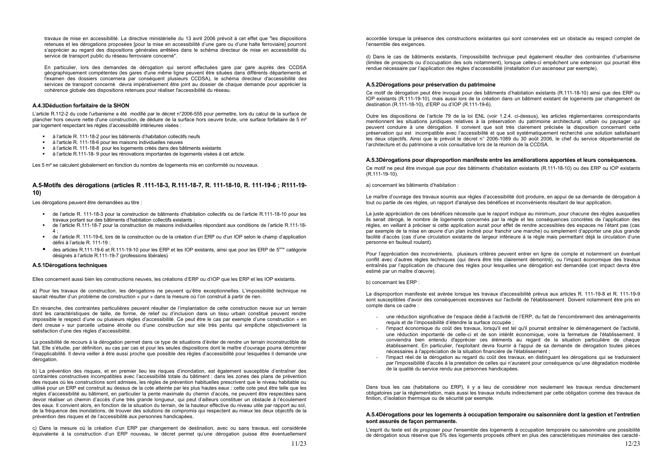travaux de mise en accessibilité. La directive ministérielle du 13 avril 2006 prévoit à cet effet que "les dispositions retenues et les dérogations proposées [pour la mise en accessibilité d'une gare ou d'une halte ferroviaire] pourront s'apprécier au regard des dispositions générales arrêtées dans le schéma directeur de mise en accessibilité du service de transport public du réseau ferroviaire concerné".

En particulier, lors des demandes de dérogation qui seront effectuées gare par gare auprès des CCDSA géographiquement compétentes (les gares d'une même ligne peuvent être situées dans différents départements et l'examen des dossiers concernera par conséquent plusieurs CCDSA), le schéma directeur d'accessibilité des services de transport concerné devra impérativement être joint au dossier de chaque demande pour apprécier la cohérence globale des dispositions retenues pour réaliser l'accessibilité du réseau.

#### A.4.3Déduction forfaitaire de la SHON

L'article R.112-2 du code l'urbanisme a été modifié par le décret n°2006-555 pour permettre, lors du calcul de la surface de plancher hors oeuvre nette d'une construction, de déduire de la surface hors oeuvre brute, une surface forfaitaire de 5 m<sup>2</sup> par logement respectant les règles d'accessibilité intérieures visées :

- à l'article R. 111-18-2 pour les bâtiments d'habitation collectifs neufs
- a l'article R. 111-18-6 pour les maisons individuelles neuves
- à l'article R. 111-18-8 pour les logements créés dans des bâtiments existants  $\mathbf{r}$  .
- à l'article R.111-18-9 pour les rénovations importantes de logements visées à cet article.

Les 5 m<sup>2</sup> se calculent globalement en fonction du nombre de logements mis en conformité ou nouveaux.

# A.5-Motifs des dérogations (articles R. 111-18-3, R. 111-18-7, R. 111-18-10, R. 111-19-6; R111-19- $10<sub>1</sub>$

Les dérogations peuvent être demandées au titre :

- de l'article R. 111-18-3 pour la construction de bâtiments d'habitation collectifs ou de l'article R.111-18-10 pour les travaux portant sur des bâtiments d'habitation collectifs existants :
- de l'article R.111-18-7 pour la construction de maisons individuelles répondant aux conditions de l'article R.111-18-
- de l'article R. 111-19-6, lors de la construction ou de la création d'un ERP ou d'un IOP selon le champ d'application défini à l'article R. 111-19 ;
- des articles R.111-19-6 et R.111-19-10 pour les ERP et les IOP existants, ainsi que pour les ERP de 5<sup>ème</sup> catégorie désignés à l'article R.111-19-7 (professions libérales)

#### A.5.1 Dérogations techniques

Elles concernent aussi bien les constructions neuves, les créations d'ERP ou d'IOP que les ERP et les IOP existants.

a) Pour les travaux de construction, les dérogations ne peuvent qu'être exceptionnelles. L'impossibilité technique ne saurait résulter d'un problème de construction « pur » dans la mesure où l'on construit à partir de rien.

En revanche, des contraintes particulières peuvent résulter de l'implantation de cette construction neuve sur un terrain dont les caractéristiques de taille, de forme, de relief ou d'inclusion dans un tissu urbain constitué peuvent rendre impossible le respect d'une ou plusieurs règles d'accessibilité. Ce peut être le cas par exemple d'une construction « en dent creuse » sur parcelle urbaine étroite ou d'une construction sur site très pentu qui empêche objectivement la satisfaction d'une des règles d'accessibilité.

La possibilité de recours à la dérogation permet dans ce type de situations d'éviter de rendre un terrain inconstructible de fait. Elle s'étudie, par définition, au cas par cas et pour les seules dispositions dont le maître d'ouvrage pourra démontrer l'inapplicabilité. Il devra veiller à être aussi proche que possible des règles d'accessibilité pour lesquelles il demande une dérogation.

b) La prévention des risques, et en premier lieu les risques d'inondation, est également susceptible d'entraîner des contraintes constructives incompatibles avec l'accessibilité totale du bâtiment : dans les zones des plans de prévention des risques où les constructions sont admises, les règles de prévention habituelles prescrivent que le niveau habitable ou utilisé pour un ERP est construit au dessus de la cote atteinte par les plus hautes eaux : cette cote peut être telle que les règles d'accessibilité au bâtiment, en particulier la pente maximale du chemin d'accès, ne peuvent être respectées sans devoir réaliser un chemin d'accès d'une très grande longueur, qui peut d'ailleurs constituer un obstacle à l'écoulement des eaux. Il convient alors, en fonction de la situation du terrain, de la hauteur effective du niveau utile par rapport au sol. de la fréquence des inondations, de trouver des solutions de compromis qui respectent au mieux les deux objectifs de la prévention des risques et de l'accessibilité aux personnes handicapées.

c) Dans la mesure où la création d'un ERP par changement de destination, avec ou sans travaux, est considérée équivalente à la construction d'un ERP nouveau, le décret permet qu'une dérogation puisse être éventuellement

accordée lorsque la présence des constructions existantes qui sont conservées est un obstacle au respect complet de l'ensemble des exigences.

d) Dans le cas de bâtiments existants, l'impossibilité technique peut également résulter des contraintes d'urbanisme (limites de prospects ou d'occupation des sols notamment), lorsque celles-ci empêchent une extension qui pourrait être rendue nécessaire par l'application des règles d'accessibilité (installation d'un ascenseur par exemple).

#### A.5.2Dérogations pour préservation du patrimoine

Ce motif de dérogation peut être invoqué pour des bâtiments d'habitation existants (R.111-18-10) ainsi que des ERP ou IOP existants (R.111-19-10), mais aussi lors de la création dans un bâtiment existant de logements par changement de destination (R.111-18-10), d'ERP ou d'IOP (R.111-19-6).

Outre les dispositions de l'article 79 de la loi ENL (voir 1.2.4. ci-dessus), les articles réglementaires correspondants mentionnent les situations juridiques relatives à la préservation du patrimoine architectural, urbain ou paysager qui peuvent conduire à une dérogation. Il convient que soit très clairement précisée la disposition concernant cette préservation qui est incompatible avec l'accessibilité et que soit systématiquement recherché une solution satisfaisant les deux objectifs. Ainsi que le prévoit le décret n° 2006-1089 du 30 août 2006, le chef du service départemental de l'architecture et du patrimoine a voix consultative lors de la réunion de la CCDSA.

#### A.5.3Dérogations pour disproportion manifeste entre les améliorations apportées et leurs conséquences.

Ce motif ne peut être invoqué que pour des bâtiments d'habitation existants (R.111-18-10) ou des ERP ou IOP existants  $(R.111 - 19 - 10)$ .

a) concernant les bâtiments d'habitation :

Le maître d'ouvrage des travaux soumis aux règles d'accessibilité doit produire, en appui de sa demande de dérogation à tout ou partie de ces règles, un rapport d'analyse des bénéfices et inconvénients résultant de leur application.

La juste appréciation de ces bénéfices nécessite que le rapport indique au minimum, pour chacune des règles auxquelles ils serait dérogé. Je nombre de logements concernés par la règle et les conséquences concrètes de l'application des règles, en veillant à préciser si cette application aurait pour effet de rendre accessibles des espaces ne l'étant pas (cas par exemple de la mise en œuvre d'un plan incliné pour franchir une marche) ou simplement d'apporter une plus grande facilité d'accès (cas d'une circulation existante de largeur inférieure à la règle mais permettant déjà la circulation d'une personne en fauteuil roulant).

Pour l'appréciation des inconvénients, plusieurs critères peuvent entrer en ligne de compte et notamment un éventuel conflit avec d'autres règles techniques (qui devra être très clairement démontré), ou l'impact économique des travaux entraînés par l'application de chacune des règles pour lesquelles une dérogation est demandée (cet impact devra être estimé par un maître d'œuvre).

b) concernant les FRP :

La disproportion manifeste est avérée lorsque les travaux d'accessibilité prévus aux articles R. 111-19-8 et R. 111-19-9 sont susceptibles d'avoir des conséquences excessives sur l'activité de l'établissement. Doivent notamment être pris en compte dans ce cadre :

- requis et de l'impossibilité d'étendre la surface occupée ;
- nécessaires à l'appréciation de la situation financière de l'établissement ;
- de la qualité du service rendu aux personnes handicapées.

Dans tous les cas (habitations ou ERP), il y a lieu de considérer non seulement les travaux rendus directement obligatoires par la réglementation, mais aussi les travaux induits indirectement par cette obligation comme des travaux de finition, d'isolation thermique ou de sécurité par exemple.

#### A.5.4Dérogations pour les logements à occupation temporaire ou saisonnière dont la gestion et l'entretien sont assurés de facon permanente.

L'esprit du texte est de proposer pour l'ensemble des logements à occupation temporaire ou saisonnière une possibilité de dérogation sous réserve que 5% des logements proposés offrent en plus des caractéristiques minimales des caracté-

- une réduction significative de l'espace dédié à l'activité de l'ERP, du fait de l'encombrement des aménagements

l'impact économique du coût des travaux, lorsqu'il est tel qu'il pourrait entraîner le déménagement de l'activité, une réduction importante de celle-ci et de son intérêt économique, voire la fermeture de l'établissement. Il conviendra bien entendu d'apprécier ces éléments au regard de la situation particulière de chaque établissement. En particulier, l'exploitant devra fournir à l'appui de sa demande de dérogation toutes pièces

l'impact réel de la dérogation au regard du coût des travaux, en distinguant les dérogations qui se traduiraient par l'impossibilité d'accès à la prestation de celles qui n'auraient pour conséquence qu'une dégradation modérée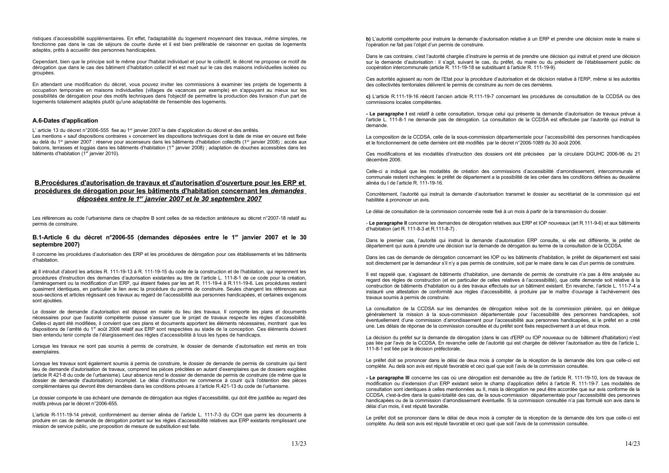ristiques d'accessibilité supplémentaires. En effet, l'adaptabilité du logement moyennant des travaux, même simples, ne fonctionne pas dans le cas de séjours de courte durée et il est bien préférable de raisonner en quotas de logements adaptés, prêts à accueillir des personnes handicapées.

Cependant, bien que le principe soit le même pour l'habitat individuel et pour le collectif, le décret ne propose ce motif de dérogation que dans le cas des bâtiment d'habitation collectif et est muet sur le cas des maisons individuelles isolées ou groupées.

En attendant une modification du décret, vous pouvez inviter les commissions à examiner les projets de logements à occupation temporaire en maisons individuelles (villages de vacances par exemple) en s'appuyant au mieux sur les possibilités de dérogation pour des motifs techniques dans l'objectif de permettre la production dès livraison d'un part de logements totalement adaptés plutôt qu'une adaptabilité de l'ensemble des logements.

### A.6-Dates d'application

L'article 13 du décret n°2006-555 fixe au 1<sup>er</sup> ianvier 2007 la date d'application du décret et des arrêtés. Les mentions « sauf dispositions contraires » concernent les dispositions techniques dont la date de mise en oeuvre est fixée au delà du 1<sup>er</sup> janvier 2007 : réserve pour ascenseurs dans les bâtiments d'habitation collectifs (1<sup>er</sup> janvier 2008) ; accès aux balcons, terrasses et loggias dans les bâtiments d'habitation (1<sup>er</sup> janvier 2008) ; adaptation de douches accessibles dans les bâtiments d'habitation (1<sup>er</sup> janvier 2010).

# B. Procédures d'autorisation de travaux et d'autorisation d'ouverture pour les ERP et procédures de dérogation pour les bâtiments d'habitation concernant les demandes déposées entre le 1<sup>er</sup> janvier 2007 et le 30 septembre 2007

Les références au code l'urbanisme dans ce chapitre B sont celles de sa rédaction antérieure au décret n°2007-18 relatif au permis de construire.

#### B.1-Article 6 du décret n°2006-55 (demandes déposées entre le 1<sup>er</sup> janvier 2007 et le 30 septembre 2007)

Il concerne les procédures d'autorisation des ERP et les procédures de dérogation pour ces établissements et les bâtiments d'habitation

a) Il introduit d'abord les articles R. 111-19-13 à R. 111-19-15 du code de la construction et de l'habitation, qui reprennent les procédures d'instruction des demandes d'autorisation existantes au titre de l'article L. 111-8-1 de ce code pour la création. l'aménagement ou la modification d'un ERP, qui étaient fixées par les art R. 111-19-4 à R.111-19-6. Les procédures restent quasiment identiques, en particulier le lien avec la procédure du permis de construire. Seules changent les références aux sous-sections et articles régissant ces travaux au regard de l'accessibilité aux personnes handicapées, et certaines exigences sont aioutées.

Le dossier de demande d'autorisation est déposé en mairie du lieu des travaux. Il comporte les plans et documents nécessaires pour que l'autorité compétente puisse s'assurer que le projet de travaux respecte les règles d'accessibilité. Celles-ci avant été modifiées, il convient que ces plans et documents apportent les éléments nécessaires, montrant que les dispositions de l'arrêté du 1<sup>er</sup> août 2006 relatif aux ERP sont respectées au stade de la conception. Ces éléments doivent bien entendu tenir compte de l'élargissement des règles d'accessibilité à tous les types de handicaps.

Lorsque les travaux ne sont pas soumis à permis de construire, le dossier de demande d'autorisation est remis en trois exemplaires.

Lorsque les travaux sont également soumis à permis de construire, le dossier de demande de permis de construire qui tient lieu de demande d'autorisation de travaux, comprend les pièces précitées en autant d'exemplaires que de dossiers exigibles (article R 421-8 du code de l'urbanisme). Leur absence rend le dossier de demande de permis de construire (de même que le dossier de demande d'autorisation) incomplet. Le délai d'instruction ne commence à courir qu'à l'obtention des pièces complémentaires qui devront être demandées dans les conditions prévues à l'article R.421-13 du code de l'urbanisme.

Le dossier comporte le cas échéant une demande de dérogation aux règles d'accessibilité, qui doit être justifiée au regard des motifs prévus par le décret n°2006-655.

L'article R-111-19-14 prévoit, conformément au dernier alinéa de l'article L. 111-7-3 du CCH que parmi les documents à produire en cas de demande de dérogation portant sur les règles d'accessibilité relatives aux ERP existants remplissant une mission de service public, une proposition de mesure de substitution est faite.

b) L'autorité compétente pour instruire la demande d'autorisation relative à un ERP et prendre une décision reste le maire si l'opération ne fait pas l'objet d'un permis de construire.

Dans le cas contraire, c'est l'autorité chargée d'instruire le permis et de prendre une décision qui instruit et prend une décision sur la demande d'autorisation : il s'agit, suivant le cas, du préfet, du maire ou du président de l'établissement public de coopération intercommunale (article R. 111-19-18 se substituant à l'article R. 111-19-9).

Ces autorités agissent au nom de l'Etat pour la procédure d'autorisation et de décision relative à l'ERP, même si les autorités des collectivités territoriales délivrent le permis de construire au nom de ces dernières.

c) L'article R.111-19-16 réécrit l'ancien article R.111-19-7 concernant les procédures de consultation de la CCDSA ou des commissions locales compétentes.

- Le paragraphe I est relatif à cette consultation, lorsque celui qui présente la demande d'autorisation de travaux prévue à l'article L. 111-8-1 ne demande pas de dérogation. La consultation de la CCDSA est effectuée par l'autorité qui instruit la domando

La composition de la CCDSA, celle de la sous-commission départementale pour l'accessibilité des personnes handicapées et le fonctionnement de cette dernière ont été modifiés par le décret n°2006-1089 du 30 août 2006.

Ces modifications et les modalités d'instruction des dossiers ont été précisées par la circulaire DGUHC 2006-96 du 21 décembre 2006.

Celle-ci a indiqué que les modalités de création des commissions d'accessibilité d'arrondissement, intercommunale et communale restent inchangées: le préfet de département a la possibilité de les créer dans les conditions définies au deuxième alinéa du I de l'article R. 111-19-16.

Concrètement, l'autorité qui instruit la demande d'autorisation transmet le dossier au secrétariat de la commission qui est habilitée à prononcer un avis.

Le délai de consultation de la commission concernée reste fixé à un mois à partir de la transmission du dossier.

- Le paragraphe II concerne les demandes de dérogation relatives aux ERP et IOP nouveaux (art R.111-9-6) et aux bâtiments d'habitation (art R. 111-8-3 et R.111-8-7).

Dans le premier cas, l'autorité qui instruit la demande d'autorisation ERP consulte, si elle est différente, le préfet de département qui aura à prendre une décision sur la demande de dérogation au terme de la consultation de la CCDSA.

Dans les cas de demande de dérogation concernant les IOP ou les bâtiments d'habitation. le préfet de département est saisi soit directement par le demandeur s'il n'y a pas permis de construire, soit par le maire dans le cas d'un permis de construire.

Il est rappelé que, s'agissant de bâtiments d'habitation, une demande de permis de construire n'a pas à être analysée au regard des règles de construction (et en particulier de celles relatives à l'accessibilité), que cette demande soit relative à la construction de bâtiments d'habitation ou à des travaux effectués sur un bâtiment existant. En revanche, l'article L. 111-7-4 a instauré une attestation de conformité aux règles d'accessibilité, à produire par le maître d'ouvrage à l'achèvement des travaux soumis à permis de construire.

La consultation de la CCDSA sur les demandes de dérogation relève soit de la commission plénière, qui en délèque généralement la mission à la sous-commission départementale pour l'accessibilité des personnes handicapées, soit éventuellement d'une commission d'arrondissement pour l'accessibilité aux personnes handicapées, si le préfet en a créé une. Les délais de réponse de la commission consultée et du préfet sont fixés respectivement à un et deux mois.

La décision du préfet sur la demande de dérogation (dans le cas d'ERP ou IOP nouveaux ou de bâtiment d'habitation) n'est pas liée par l'avis de la CCDSA. En revanche celle de l'autorité qui est chargée de délivrer l'autorisation au titre de l'article L. 111-8-1 est liée par la décision préfectorale.

Le préfet doit se prononcer dans le délai de deux mois à compter de la réception de la demande dès lors que celle-ci est complète. Au delà son avis est réputé favorable et ceci quel que soit l'avis de la commission consultée.

- Le paragraphe III concerne les cas où une dérogation est demandée au titre de l'article R. 111-19-10, lors de travaux de modification ou d'extension d'un ERP existant selon le champ d'application défini à l'article R, 111-19-7. Les modalités de consultation sont identiques à celles mentionnées au II, mais la dérogation ne peut être accordée que sur avis conforme de la CCDSA, c'est-à-dire dans la quasi-totalité des cas, de la sous-commission départementale pour l'accessibilité des personnes handicapées ou de la commission d'arrondissement éventuelle. Si la commission consultée n'a pas formulé son avis dans le délai d'un mois, il est réputé favorable.

Le préfet doit se prononcer dans le délai de deux mois à compter de la réception de la demande dès lors que celle-ci est complète. Au delà son avis est réputé favorable et ceci quel que soit l'avis de la commission consultée.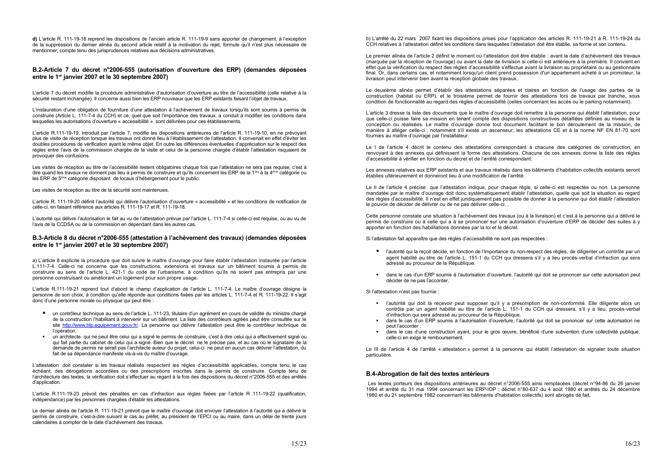d) L'article R. 111-19-18 reprend les dispositions de l'ancien article R. 111-19-9 sans apporter de changement, à l'exception de la suppression du dernier alinéa du second article relatif à la motivation du rejet, formule qu'il n'est plus nécessaire de mentionner, compte tenu des jurisprudences relatives aux décisions administratives.

#### B.2-Article 7 du décret n°2006-555 (autorisation d'ouverture des ERP) (demandes déposées entre le 1<sup>er</sup> janvier 2007 et le 30 septembre 2007)

L'article 7 du décret modifie la procédure administrative d'autorisation d'ouverture au titre de l'accessibilité (celle relative à la sécurité restant inchangée). Il concerne aussi bien les ERP nouveaux que les ERP existants faisant l'objet de travaux.

L'instauration d'une obligation de fourniture d'une attestation à l'achèvement de travaux lorsqu'ils sont soumis à permis de construire (Article L. 111-7-4 du CCH) et ce, quel que soit l'importance des travaux, a conduit à modifier les conditions dans lesquelles les autorisations d'ouverture « accessibilité » sont délivrées pour ces établissements.

L'article R.111-19-19, introduit par l'article 7, modifie les dispositions antérieures de l'article R. 111-19-10, en ne prévovant plus de visite de réception lorsque les travaux ont donné lieu à l'établissement de l'attestation. Il convenait en effet d'éviter les doubles procédures de vérification ayant le même objet. En outre les différences éventuelles d'appréciation sur le respect des règles entre l'avis de la commission chargée de la visite et celui de la personne chargée d'établir l'attestation risquaient de provoquer des confusions.

Les visites de réception au titre de l'accessibilité restent obligatoires chaque fois que l'attestation ne sera pas requise, c'est à dire quand les travaux ne donnent pas lieu à permis de construire et qu'ils concernent les ERP de la 1<sup>ère</sup> à la 4<sup>ème</sup> catégorie ou les ERP de 5<sup>ème</sup> catégorie disposant de locaux d'hébergement pour le public.

Les visites de réception au titre de la sécurité sont maintenues.

L'article R. 111-19-20 définit l'autorité qui délivre l'autorisation d'ouverture « accessibilité » et les conditions de notification de celle-ci, en faisant référence aux articles R. 111-19-17 et R. 111-19-18.

L'autorité qui délivre l'autorisation le fait au vu de l'attestation prévue par l'article L. 111-7-4 si celle-ci est requise, ou au vu de l'avis de la CCDSA ou de la commission en dépendant dans les autres cas.

### B.3-Article 8 du décret n°2006-555 (attestation à l'achèvement des travaux) (demandes déposées entre le 1<sup>er</sup> janvier 2007 et le 30 septembre 2007)

a) L'article 8 explicite la procédure que doit suivre le maître d'ouvrage pour faire établir l'attestation instaurée par l'article L.111-7-4. Celle-ci ne concerne que les constructions, extensions et travaux sur un bâtiment soumis à permis de construire au sens de l'article L. 421-1 du code de l'urbanisme, à condition qu'ils ne soient pas entrepris par une personne construisant ou améliorant un logement pour son propre usage.

L'article R.111-19-21 reprend tout d'abord le champ d'application de l'article L. 111-7-4. Le maître d'ouvrage désigne la personne de son choix, à condition qu'elle réponde aux conditions fixées par les articles L. 111-7-4 et R. 111-19-22. Il s'agit donc d'une personne morale ou physique qui peut être :

- un contrôleur technique au sens de l'article L. 111-23, titulaire d'un agrément en cours de validité du ministre chargé de la construction l'habilitant à intervenir sur un bâtiment. La liste des contrôleurs agréés peut être consultée sur le site http://www.btp.equipement.gouv.fr/. La personne qui délivre l'attestation peut être le contrôleur technique de l'opération.
- " un architecte qui ne peut être celui qui a signé le permis de construire, c'est à dire celui qui a effectivement signé ou qui fait partie du cabinet de celui qui a signé. Bien que le décret ne le précise pas, et au cas où le signataire de la demande de permis ne serait pas l'architecte auteur du projet, celui-ci ne peut en aucun cas délivrer l'attestation, du fait de sa dépendance manifeste vis-à-vis du maître d'ouvrage.

L'attestation doit constater si les travaux réalisés respectent les règles d'accessibilité applicables, compte tenu, le cas échéant, des dérogations accordées ou des prescriptions inscrites dans le permis de construire. Compte tenu de l'architecture des textes, la vérification doit s'effectuer au regard à la fois des dispositions du décret n°2006-555 et des arrêtés d'application.

L'article R.111-19-23 prévoit des pénalités en cas d'infraction aux règles fixées par l'article R.111-19-22 (qualification, indépendance) par les personnes chargées d'établir les attestations.

Le dernier alinéa de l'article R. 111-19-21 prévoit que le maître d'ouvrage doit envoyer l'attestation à l'autorité qui a délivré le permis de construire, c'est-à-dire suivant le cas au préfet, au président de l'EPCI ou au maire, dans un délai de trente jours calendaires à compter de la date d'achèvement des travaux.

b) L'arrêté du 22 mars 2007 fixant les dispositions prises pour l'application des articles R. 111-19-21 à R. 111-19-24 du CCH relatives à l'attestation définit les conditions dans lesquelles l'attestation doit être établie, sa forme et son contenu.

Le premier alinéa de l'article 2 définit le moment où l'attestation doit être établie : avant la date d'achèvement des travaux (marquée par la réception de l'ouvrage) ou avant la date de livraison si celle-ci est antérieure à la première. Il convient en effet que la vérification du respect des règles d'accessibilité s'effectue avant la livraison au propriétaire ou au gestionnaire final. Or, dans certains cas, et notamment lorsqu'un client prend possession d'un appartement acheté à un promoteur, la livraison peut intervenir bien avant la réception globale des travaux..

Le deuxième alinéa permet d'établir des attestations séparées et claires en fonction de l'usage des parties de la construction (habitat ou ERP), et le troisième permet de fournir des attestations lors de travaux par tranche, sous condition de fonctionnalité au regard des règles d'accessibilité (celles concernant les accès ou le parking notamment).

L'article 3 dresse la liste des documents que le maître d'ouvrage doit remettre à la personne qui établit l'attestation, pour que celle-ci puisse faire sa mission en tenant compte des dispositions constructives détaillées définies au niveau de la conception ou réalisées. Le maître d'ouvrage donne tout document facilitant le bon déroulement de la mission, de manière à alléger celle-ci ; notamment s'il existe un ascenseur, les attestations CE et à la norme NF EN 81-70 sont fournies au maître d'ouvrage par l'installateur.

Le I de l'article 4 décrit le contenu des attestations correspondant à chacune des catégories de construction, en renvoyant à des annexes qui définissent la forme des attestations. Chacune de ces annexes donne la liste des règles d'accessibilité à vérifier en fonction du décret et de l'arrêté correspondant.

Les annexes relatives aux ERP existants et aux travaux réalisés dans les bâtiments d'habitation collectifs existants seront établies ultérieurement et donneront lieu à une modification de l'arrêté.

Le II de l'article 4 précise que l'attestation indique, pour chaque règle, si celle-ci est respectée ou non. La personne mandatée par le maître d'ouvrage doit donc systématiquement établir l'attestation, quelle que soit la situation au regard des règles d'accessibilité. Il n'est en effet juridiquement pas possible de donner à la personne qui doit établir l'attestation le pouvoir de décider de délivrer ou de ne pas délivrer celle-ci..

Cette personne constate une situation à l'achèvement des travaux (ou à la livraison) et c'est à la personne qui a délivré le permis de construire ou à celle qui a à se prononcer sur une autorisation d'ouverture d'ERP de décider des suites à y apporter en fonction des habilitations données par la loi et le décret.

Si l'attestation fait apparaître que des règles d'accessibilité ne sont pas respectées :

- adressé au procureur de la République.
- dans le cas d'un ERP soumis à l'autorisation d'ouverture, l'autorité qui doit se prononcer sur cette autorisation peut décider de ne pas l'accorder.

Si l'attestation n'est pas fournie :

- · l'autorité qui doit la recevoir peut supposer qu'il y a présomption de non-conformité. Elle diligente alors un d'infraction qui sera adressé au procureur de la République.
- dans le cas d'un ERP soumis à l'autorisation d'ouverture, l'autorité qui doit se prononcer sur cette autorisation ne peut l'accorder :
- celle-ci en exige le remboursement.

Le III de l'article 4 de l'arrêté « attestation » permet à la personne qui établit l'attestation de signaler toute situation particulière.

#### B.4-Abrogation de fait des textes antérieurs

Les textes porteurs des dispositions antérieures au décret n°2006-555 ainsi remplacées (décret n°94-86 du 26 janvier 1994 et arrêté du 31 mai 1994 concernant les ERP-IOP ; décret n°80-637 du 4 août 1980 et arrêtés du 24 décembre 1980 et du 21 septembre 1982 concernant les bâtiments d'habitation collectifs) sont abrogés de fait.

" l'autorité qui la reçoit décide, en fonction de l'importance du non-respect des règles, de diligenter un contrôle par un agent habilité au titre de l'article L. 151-1 du CCH qui dressera s'il y a lieu procès-verbal d'infraction qui sera

contrôle par un agent habilité au titre de l'article L. 151-1 du CCH qui dressera, s'il y a lieu, procès-verbal

dans le cas d'une construction ayant, pour le gros œuvre, bénéficié d'une subvention d'une collectivité publique,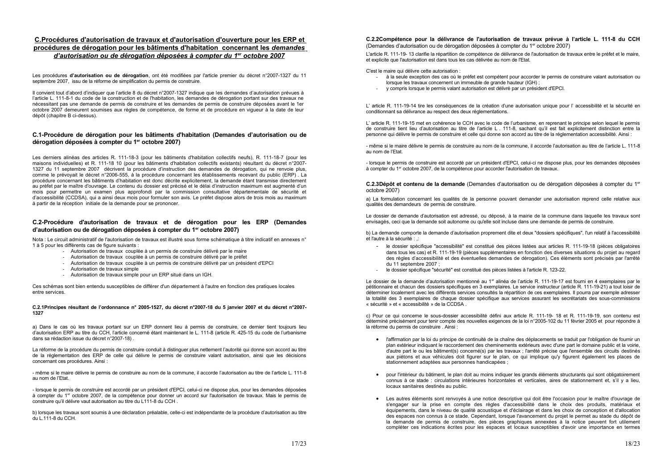# C. Procédures d'autorisation de travaux et d'autorisation d'ouverture pour les ERP et procédures de dérogation pour les bâtiments d'habitation concernant les demandes d'autorisation ou de dérogation déposées à compter du 1<sup>er</sup> octobre 2007

Les procédures d'autorisation ou de dérogation, ont été modifiées par l'article premier du décret n°2007-1327 du 11 septembre 2007, issu de la réforme de simplification du permis de construire.

Il convient tout d'abord d'indiquer que l'article 8 du décret n°2007-1327 indique que les demandes d'autorisation prévues à l'article L. 111-8-1 du code de la construction et de l'habitation. Les demandes de dérogation portant sur des travaux ne nécessitant pas une demande de permis de construire et les demandes de permis de construire déposées avant le 1er octobre 2007 demeurent soumises aux règles de compétence, de forme et de procédure en viqueur à la date de leur dépôt (chapitre B ci-dessus).

# C.1-Procédure de dérogation pour les bâtiments d'habitation (Demandes d'autorisation ou de dérogation déposées à compter du 1<sup>er</sup> octobre 2007)

Les derniers alinéas des articles R. 111-18-3 (pour les bâtiments d'habitation collectifs neufs). R. 111-18-7 (pour les maisons individuelles) et R. 111-18 10 (pour les bâtiments d'habitation collectifs existants) résultant du décret n°2007-1327 du 11 septembre 2007 décrivent la procédure d'instruction des demandes de dérogation, qui ne renvoie plus, comme le prévoyait le décret n°2006-555, à la procédure concernant les établissements recevant du public (ERP). La procédure concernant les bâtiments d'habitation est donc décrite explicitement, la demande étant transmise directement au préfet par le maître d'ouvrage. Le contenu du dossier est précisé et le délai d'instruction maximum est augmenté d'un mois pour permettre un examen plus approfondi par la commission consultative départementale de sécurité et d'accessibilité (CCDSA), qui a ainsi deux mois pour formuler son avis. Le préfet dispose alors de trois mois au maximum à partir de la réception initiale de la demande pour se prononcer.

# C.2-Procédure d'autorisation de travaux et de dérogation pour les ERP (Demandes d'autorisation ou de dérogation déposées à compter du 1<sup>er</sup> octobre 2007)

Nota : Le circuit administratif de l'autorisation de travaux est illustré sous forme schématique à titre indicatif en annexes n° 1 à 5 pour les différents cas de figure suivants :

- Autorisation de travaux couplée à un permis de construire délivré par le maire
- Autorisation de travaux couplée à un permis de construire délivré par le préfet
- Autorisation de travaux couplée à un permis de construire délivré par un président d'EPCI
- Autorisation de travaux simple
- Autorisation de travaux simple pour un ERP situé dans un IGH.

Ces schémas sont bien entendu susceptibles de différer d'un département à l'autre en fonction des pratiques locales entre services.

#### C.2.1 Principes résultant de l'ordonnance n° 2005-1527, du décret n°2007-18 du 5 janvier 2007 et du décret n°2007-1327

a) Dans le cas où les travaux portant sur un ERP donnent lieu à permis de construire, ce dernier tient toujours lieu d'autorisation ERP au titre du CCH, l'article concerné étant maintenant le L. 111-8 (article R. 425-15 du code de l'urbanisme dans sa rédaction issue du décret n°2007-18).

La réforme de la procédure du permis de construire conduit à distinguer plus nettement l'autorité qui donne son accord au titre de la réglementation des ERP de celle qui délivre le permis de construire valant autorisation, ainsi que les décisions concernant ces procédures. Ainsi :

- même si le maire délivre le permis de construire au nom de la commune, il accorde l'autorisation au titre de l'article L. 111-8 au nom de l'Etat.

- lorsque le permis de construire est accordé par un président d'EPCI, celui-ci ne dispose plus, pour les demandes déposées à compter du 1<sup>er</sup> octobre 2007, de la compétence pour donner un accord sur l'autorisation de travaux. Mais le permis de construire qu'il délivre vaut autorisation au titre du L111-8 du CCH.

b) lorsque les travaux sont soumis à une déclaration préalable, celle-ci est indépendante de la procédure d'autorisation au titre du L.111-8 du CCH.

#### C.2.2Compétence pour la délivrance de l'autorisation de travaux prévue à l'article L. 111-8 du CCH (Demandes d'autorisation ou de dérogation déposées à compter du 1<sup>er</sup> octobre 2007)

L'article R. 111-19-13 clarifie la répartition de compétence de délivrance de l'autorisation de travaux entre le préfet et le maire, et explicite que l'autorisation est dans tous les cas délivrée au nom de l'Etat.

C'est le maire qui délivre cette autorisation :

- lorsque les travaux concernent un immeuble de grande hauteur (IGH);
- y compris lorsque le permis valant autorisation est délivré par un président d'EPCI.

L' article R. 111-19-14 tire les conséquences de la création d'une autorisation unique pour l'accessibilité et la sécurité en conditionnant sa délivrance au respect des deux réglementations.

L'article R. 111-19-15 met en cohérence le CCH avec le code de l'urbanisme, en reprenant le principe selon lequel le permis de construire tient lieu d'autorisation au titre de l'article L . 111-8, sachant qu'il est fait explicitement distinction entre la personne qui délivre le permis de construire et celle qui donne son accord au titre de la réglementation accessibilité. Ainsi :

- même si le maire délivre le permis de construire au nom de la commune, il accorde l'autorisation au titre de l'article L. 111-8 au nom de l'Etat.

- lorsque le permis de construire est accordé par un président d'EPCI, celui-ci ne dispose plus, pour les demandes déposées à compter du 1<sup>er</sup> octobre 2007, de la compétence pour accorder l'autorisation de travaux.

C.2.3Dépôt et contenu de la demande (Demandes d'autorisation ou de dérogation déposées à compter du 1<sup>er</sup> octobre 2007)

a) La formulation concernant les qualités de la personne pouvant demander une autorisation reprend celle relative aux qualités des demandeurs de permis de construire.

Le dossier de demande d'autorisation est adressé, ou déposé, à la mairie de la commune dans laquelle les travaux sont envisagés, ceci que la demande soit autonome ou qu'elle soit incluse dans une demande de permis de construire.

b) La demande comporte la demande d'autorisation proprement dite et deux "dossiers spécifiques", l'un relatif à l'accessibilité et l'autre à la sécurité : :

- du 11 septembre 2007 :
- le dossier spécifique "sécurité" est constitué des pièces listées à l'article R. 123-22.

Le dossier de la demande d'autorisation mentionné au 1<sup>er</sup> alinéa de l'article R. 111-19-17 est fourni en 4 exemplaires par le pétitionnaire et chacun des dossiers spécifiques en 3 exemplaires. Le service instructeur (article R, 111-19-21) a tout loisir de déterminer localement avec les différents services consultés la répartition de ces exemplaires. Il pourra par exemple adresser la totalité des 3 exemplaires de chaque dossier spécifique aux services assurant les secrétariats des sous-commissions « sécurité » et « accessibilité » de la CCDSA.

c) Pour ce qui concerne le sous-dossier accessibilité défini aux article R. 111-19- 18 et R. 111-19-19, son contenu est déterminé précisément pour tenir compte des nouvelles exigences de la loi n°2005-102 du 11 février 2005 et pour répondre à la réforme du permis de construire . Ainsi :

- stationnement adaptées aux personnes handicapées ;
- locaux sanitaires destinés au public.
- 

- à la seule exception des cas où le préfet est compétent pour accorder le permis de construire valant autorisation ou

- le dossier spécifique "accessibilité" est constitué des pièces listées aux articles R. 111-19-18 (pièces obligatoires dans tous les cas) et R. 111-19-19 (pièces supplémentaires en fonction des diverses situations du projet au regard des règles d'accessibilité et des éventuelles demandes de dérogation). Ces éléments sont précisés par l'arrêté

• l'affirmation par la loi du principe de continuité de la chaîne des déplacements se traduit par l'obligation de fournir un plan extérieur indiquant le raccordement des cheminements extérieurs avec d'une part le domaine public et la voirie. d'autre part le ou les bâtiment(s) concerné(s) par les travaux : l'arrêté précise que l'ensemble des circuits destinés aux piétons et aux véhicules doit figurer sur le plan, ce qui implique qu'y figurent également les places de

• pour l'intérieur du bâtiment. le plan doit au moins indiquer les grands éléments structurants qui sont obligatoirement connus à ce stade : circulations intérieures horizontales et verticales, aires de stationnement et, s'il y a lieu.

• Les autres éléments sont renvovés à une notice descriptive qui doit être l'occasion pour le maître d'ouvrage de s'engager sur la prise en compte des règles d'accessibilité dans le choix des produits, matériaux et équipements, dans le niveau de qualité acoustique et d'éclairage et dans les choix de conception et d'allocation des espaces non connus à ce stade. Cependant, lorsque l'avancement du projet le permet au stade du dépôt de la demande de permis de construire, des pièces graphiques annexées à la notice peuvent fort utilement compléter ces indications écrites pour les espaces et locaux susceptibles d'avoir une importance en termes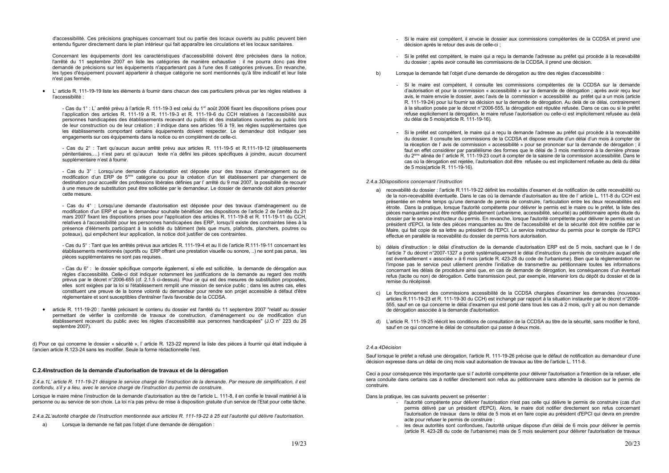d'accessibilité. Ces précisions graphiques concernant tout ou partie des locaux ouverts au public peuvent bien entendu figurer directement dans le plan intérieur qui fait apparaître les circulations et les locaux sanitaires.

Concernant les équipements dont les caractéristiques d'accessibilité doivent être précisées dans la notice, l'arrêté du 11 septembre 2007 en liste les catégories de manière exhaustive : il ne pourra donc pas être demandé de précisions sur les équipements n'appartenant pas à l'une des 8 catégories prévues. En revanche, les types d'équipement pouvant appartenir à chaque catégorie ne sont mentionnés qu'à titre indicatif et leur liste n'est pas fermée.

• L'article R. 111-19-19 liste les éléments à fournir dans chacun des cas particuliers prévus par les règles relatives à l'accessibilité :

- Cas du 1° : L' arrêté prévu à l'article R. 111-19-3 est celui du 1<sup>er</sup> août 2006 fixant les dispositions prises pour l'application des articles R. 111-19 à R. 111-19-3 et R. 111-19-6 du CCH relatives à l'accessibilité aux personnes handicapées des établissements recevant du public et des installations ouvertes au public lors de leur construction ou de leur création ; il indique dans ses articles 16 à 19, les règles supplémentaires que les établissements comportant certains équipements doivent respecter. Le demandeur doit indiquer ses engagements sur ces équipements dans la notice ou en complément de celle-ci.

- Cas du 2° : Tant qu'aucun aucun arrêté prévu aux articles R. 111-19-5 et R.111-19-12 (établissements pénitentiaires....) n'est paru et qu'aucun texte n'a défini les pièces spécifiques à joindre, aucun document supplémentaire n'est à fournir.

- Cas du 3° : Lorsqu'une demande d'autorisation est déposée pour des travaux d'aménagement ou de modification d'un ERP de 5<sup>ème</sup> catégorie ou pour la création d'un tel établissement par changement de destination pour accueillir des professions libérales définies par l'arrêté du 9 mai 2007, la possibilité de recourir à une mesure de substitution peut être sollicitée par le demandeur. Le dossier de demande doit alors présenter cette mesure.

- Cas du 4° : Lorsqu'une demande d'autorisation est déposée pour des travaux d'aménagement ou de modification d'un ERP et que le demandeur souhaite bénéficier des dispositions de l'article 2 de l'arrêté du 21 mars 2007 fixant les dispositions prises pour l'application des articles R. 111-19-8 et R. 111-19-11 du CCH, relatives à l'accessibilité pour les personnes handicapées des ERP, lorsqu'il existe des contraintes liées à la présence d'éléments participant à la solidité du bâtiment (tels que murs, plafonds, planchers, poutres ou poteaux), qui empêchent leur application, la notice doit justifier de ces contraintes.

- Cas du 5° : Tant que les arrêtés prévus aux articles R. 111-19-4 et au II de l'article R.111-19-11 concernant les établissements mentionnés (sportifs ou ERP offrant une prestation visuelle ou sonore...) ne sont pas parus. les pièces supplémentaires ne sont pas requises.

- Cas du 6° : le dossier spécifique comporte également, si elle est sollicitée, la demande de dérogation aux règles d'accessibilité. Celle-ci doit indiquer notamment les justifications de la demande au regard des motifs prévus par le décret n°2006-655 (cf. 2.1.5 ci-dessus). Pour ce qui est des mesures de substitution proposées, elles sont exigées par la loi si l'établissement remplit une mission de service public ; dans les autres cas, elles constituent une preuve de la bonne volonté du demandeur pour rendre son projet accessible à défaut d'être réglementaire et sont susceptibles d'entraîner l'avis favorable de la CCDSA.

article R. 111-19-20 : l'arrêté précisant le contenu du dossier est l'arrêté du 11 septembre 2007 "relatif au dossier permettant de vérifier la conformité de travaux de construction, d'aménagement ou de modification d'un établissement recevant du public avec les règles d'accessibilité aux personnes handicapées" (J.O n° 223 du 26 septembre 2007).

d) Pour ce qui concerne le dossier « sécurité », l'article R, 123-22 reprend la liste des pièces à fournir qui était indiquée à l'ancien article R.123-24 sans les modifier. Seule la forme rédactionnelle l'est.

#### C.2.4Instruction de la demande d'autorisation de travaux et de la dérogation

2.4.a.1L'article R. 111-19-21 désigne le service chargé de l'instruction de la demande. Par mesure de simplification, il est confondu, s'il y a lieu, avec le service chargé de l'instruction du permis de construire.

Lorsque le maire mène l'instruction de la demande d'autorisation au titre de l'article L. 111-8, il en confie le travail matériel à la personne ou au service de son choix. La loi n'a pas prévu de mise à disposition gratuite d'un service de l'Etat pour cette tâche.

2.4.a.2L'autorité chargée de l'instruction mentionnée aux articles R. 111-19-22 à 25 est l'autorité qui délivre l'autorisation.

Lorsque la demande ne fait pas l'objet d'une demande de dérogation :  $\mathsf{a}$ 

- décision après le retour des avis de celle-ci :
- du dossier ; après avoir consulté les commissions de la CCDSA, il prend une décision.
- Lorsque la demande fait l'objet d'une demande de dérogation au titre des règles d'accessibilité :  $h)$ 
	- du délai de 5 mois (article R. 111-19-16).
	- de 5 mois (article R, 111-19-16).

#### 2.4.a.3Dispositions concernant l'instruction

- effectue en parallèle la recevabilité du dossier de permis hors autorisation.
- remise du récépissé
- de dérogation associée à la demande d'autorisation.
- sauf en ce qui concerne le délai de consultation qui passe à deux mois.

#### 2.4 a 4Décision

Sauf lorsque le préfet a refusé une dérogation, l'article R. 111-19-26 précise que le défaut de notification au demandeur d'une décision expresse dans un délai de cinq mois vaut autorisation de travaux au titre de l'article L. 111-8.

Ceci a pour conséquence très importante que si l'autorité compétente pour délivrer l'autorisation a l'intention de la refuser, elle sera conduite dans certains cas à notifier directement son refus au pétitionnaire sans attendre la décision sur le permis de construire

Dans la pratique, les cas suivants peuvent se présenter :

- acte pour refuser le permis de construire :
- 

- Si le maire est compétent, il envoie le dossier aux commissions compétentes de la CCDSA et prend une

Si le préfet est compétent, le maire qui a reçu la demande l'adresse au préfet qui procède à la recevabilité

- Si le maire est compétent, il consulte les commissions compétentes de la CCDSA sur la demande d'autorisation et pour la commission « accessibilité » sur la demande de dérogation ; après avoir reçu leur avis, le maire envoie le dossier, avec l'avis de la commission « accessibilité au préfet qui a un mois (article R. 111-19-24) pour lui fournir sa décision sur la demande de dérogation. Au delà de ce délai, contrairement à la situation posée par le décret n°2006-555, la dérogation est réputée refusée. Dans ce cas ou si le préfet refuse explicitement la dérogation. le maire refuse l'autorisation ou celle-ci est implicitement refusée au delà

- Si le préfet est compétent, le maire qui a recu la demande l'adresse au préfet qui procède à la recevabilité du dossier. Il consulte les commissions de la CCDSA et dispose ensuite d'un délai d'un mois à compter de la réception de l'avis de commission « accessibilité » pour se prononcer sur la demande de dérogation ; il faut en effet considérer par parallélisme des formes que le délai de 3 mois mentionné à la dernière phrase du 2<sup>ème</sup> alinéa de l'article R. 111-19-23 court à compter de la saisine de la commission accessibilité. Dans le cas où la dérogation est rejetée. l'autorisation doit être refusée ou est implicitement refusée au delà du délai

a) recevabilité du dossier : l'article R.111-19-22 définit les modalités d'examen et de notification de cette recevabilité ou de la non-recevabilité éventuelle. Dans le cas où la demande d'autorisation au titre de l'article L. 111-8 du CCH est présentée en même temps qu'une demande de permis de construire, l'articulation entre les deux recevabilités est étroite. Dans la pratique, lorsque l'autorité compétente pour délivrer le permis est le maire ou le préfet, la liste des pièces manquantes peut être notifiée globalement (urbanisme, accessibilité, sécurité) au pétitionnaire après étude du dossier par le service instructeur du permis. En revanche, lorsque l'autorité compétente pour délivrer le permis est un président d'EPCI, la liste des pièces manquantes au titre de l'accessibilité et de la sécurité doit être notifiée par le Maire, qui fait copie de sa lettre au président de l'EPCI. Le service instructeur du permis pour le compte de l'EPCI

b) délais d'instruction : le délai d'instruction de la demande d'autorisation ERP est de 5 mois, sachant que le I de l'article 7 du décret n°2007-1327 a porté systématiquement le délai d'instruction du permis de construire auquel elle est éventuellement « associée » à 6 mois (article R, 423-28 du code de l'urbanisme). Bien que la réglementation ne l'impose pas le service peut utilement prendre l'initiative de transmettre au pétitionnaire toutes les informations concernant les délais de procédure ainsi que, en cas de demande de dérogation, les conséquences d'un éventuel refus (tacite ou non) de dérogation. Cette transmission peut, par exemple, intervenir lors du dépôt du dossier et de la

c) Le fonctionnement des commissions accessibilité de la CCDSA chargées d'examiner les demandes (nouveaux articles R.111-19-23 et R. 111-19-30 du CCH) est inchangé par rapport à la situation instaurée par le décret n°2006-555, sauf en ce qui concerne le délai d'examen qui est porté dans tous les cas à 2 mois, qu'il y ait ou non demande

d) L'article R. 111-19-25 réécrit les conditions de consultation de la CCDSA au titre de la sécurité, sans modifier le fond.

.<br>- l'autorité compétente pour délivrer l'autorisation n'est pas celle qui délivre le permis de construire (cas d'un permis délivré par un président d'EPCI). Alors, le maire doit notifier directement son refus concernant l'autorisation de travaux dans le délai de 5 mois et en faire copie au président d'EPCI qui devra en prendre

les deux autorités sont confondues, l'autorité unique dispose d'un délai de 6 mois pour délivrer le permis (article R. 423-28 du code de l'urbanisme) mais de 5 mois seulement pour délivrer l'autorisation de travaux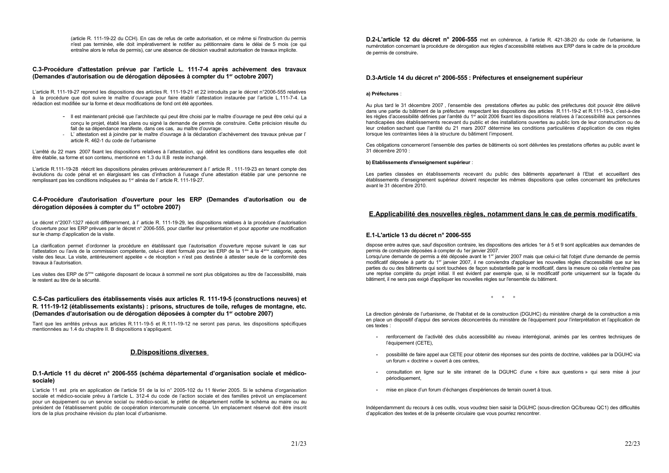(article R. 111-19-22 du CCH). En cas de refus de cette autorisation, et ce même si l'instruction du permis n'est pas terminée, elle doit impérativement le notifier au pétitionnaire dans le délai de 5 mois (ce qui entraîne alors le refus de permis), car une absence de décision vaudrait autorisation de travaux implicite.

#### C.3-Procédure d'attestation prévue par l'article L. 111-7-4 après achèvement des travaux (Demandes d'autorisation ou de dérogation déposées à compter du 1<sup>er</sup> octobre 2007)

L'article R. 111-19-27 reprend les dispositions des articles R. 111-19-21 et 22 introduits par le décret n°2006-555 relatives à la procédure que doit suivre le maître d'ouvrage pour faire établir l'attestation instaurée par l'article L.111-7-4. La rédaction est modifiée sur la forme et deux modifications de fond ont été apportées.

- Il est maintenant précisé que l'architecte qui peut être choisi par le maître d'ouvrage ne peut être celui qui a concu le proiet, établi les plans ou signé la demande de permis de construire. Cette précision résulte du fait de sa dépendance manifeste, dans ces cas, au maître d'ouvrage.
- L'attestation est à joindre par le maître d'ouvrage à la déclaration d'achèvement des travaux prévue par l' article R. 462-1 du code de l'urbanisme

L'arrêté du 22 mars 2007 fixant les dispositions relatives à l'attestation, qui définit les conditions dans lesquelles elle doit être établie, sa forme et son contenu, mentionné en 1.3 du II.B reste inchangé.

L'article R.111-19-28 réécrit les dispositions pénales prévues antérieurement à l'article R. 111-19-23 en tenant compte des évolutions du code pénal et en élargissant les cas d'infraction à l'usage d'une attestation établie par une personne ne remplissant pas les conditions indiquées au 1<sup>er</sup> alinéa de l'article R. 111-19-27.

# C.4-Procédure d'autorisation d'ouverture pour les ERP (Demandes d'autorisation ou de dérogation déposées à compter du 1<sup>er</sup> octobre 2007)

Le décret n°2007-1327 réécrit différemment, à l' article R. 111-19-29, les dispositions relatives à la procédure d'autorisation d'ouverture pour les ERP prévues par le décret n° 2006-555, pour clarifier leur présentation et pour apporter une modification sur le champ d'application de la visite.

La clarification permet d'ordonner la procédure en établissant que l'autorisation d'ouverture repose suivant le cas sur l'attestation ou l'avis de la commission compétente, celui-ci étant formulé pour les ERP de la 1<sup>ère</sup> à la 4<sup>ème</sup> catégorie, après visite des lieux. La visite, antérieurement appelée « de réception » n'est pas destinée à attester seule de la conformité des travaux à l'autorisation.

Les visites des ERP de 5<sup>ème</sup> catégorie disposant de locaux à sommeil ne sont plus obligatoires au titre de l'accessibilité, mais le restent au titre de la sécurité

# C.5-Cas particuliers des établissements visés aux articles R. 111-19-5 (constructions neuves) et R. 111-19-12 (établissements existants) : prisons, structures de toile, refuges de montagne, etc. (Demandes d'autorisation ou de dérogation déposées à compter du 1<sup>er</sup> octobre 2007)

Tant que les arrêtés prévus aux articles R.111-19-5 et R.111-19-12 ne seront pas parus, les dispositions spécifiques mentionnées au 1.4 du chapitre II. B dispositions s'appliquent.

# **D.Dispositions diverses**

### D.1-Article 11 du décret n° 2006-555 (schéma départemental d'organisation sociale et médicosociale)

L'article 11 est pris en application de l'article 51 de la loi n° 2005-102 du 11 février 2005. Si le schéma d'organisation sociale et médico-sociale prévu à l'article L. 312-4 du code de l'action sociale et des familles prévoit un emplacement pour un équipement ou un service social ou médico-social, le préfet de département notifie le schéma au maire ou au président de l'établissement public de coopération intercommunale concerné. Un emplacement réservé doit être inscrit lors de la plus prochaine révision du plan local d'urbanisme.

D.2-L'article 12 du décret n° 2006-555 met en cohérence, à l'article R. 421-38-20 du code de l'urbanisme, la numérotation concernant la procédure de dérogation aux règles d'accessibilité relatives aux ERP dans le cadre de la procédure de permis de construire.

# D.3-Article 14 du décret n° 2006-555 : Préfectures et enseignement supérieur

#### a) Préfectures :

Au plus tard le 31 décembre 2007, l'ensemble des prestations offertes au public des préfectures doit pouvoir être délivré dans une partie du bâtiment de la préfecture respectant les dispositions des articles R.111-19-2 et R.111-19-3, c'est-à-dire les règles d'accessibilité définies par l'arrêté du 1<sup>er</sup> août 2006 fixant les dispositions relatives à l'accessibilité aux personnes handicapées des établissements recevant du public et des installations ouvertes au public lors de leur construction ou de leur création sachant que l'arrêté du 21 mars 2007 détermine les conditions particulières d'application de ces règles lorsque les contraintes liées à la structure du bâtiment l'imposent.

Ces obligations concerneront l'ensemble des parties de bâtiments où sont délivrées les prestations offertes au public avant le 31 décembre 2010 :

#### b) Etablissements d'enseignement supérieur :

Les parties classées en établissements recevant du public des bâtiments appartenant à l'Etat et accueillant des établissements d'enseignement supérieur doivent respecter les mêmes dispositions que celles concernant les préfectures avant le 31 décembre 2010.

# E. Applicabilité des nouvelles règles, notamment dans le cas de permis modificatifs

#### E.1-L'article 13 du décret n° 2006-555

dispose entre autres que, sauf disposition contraire, les dispositions des articles 1er à 5 et 9 sont applicables aux demandes de permis de construire déposées à compter du 1er janvier 2007. Lorsqu'une demande de permis a été déposée avant le 1<sup>er</sup> janvier 2007 mais que celui-ci fait l'objet d'une demande de permis modificatif déposée à partir du 1<sup>er</sup> janvier 2007, il ne conviendra d'appliquer les nouvelles règles d'accessibilité que sur les parties du ou des bâtiments qui sont touchées de facon substantielle par le modificatif, dans la mesure où cela n'entraîne pas une reprise complète du projet initial. Il est évident par exemple que, si le modificatif porte uniquement sur la façade du bâtiment, il ne sera pas exigé d'appliquer les nouvelles règles sur l'ensemble du bâtiment.

 $*$  \* \*

La direction générale de l'urbanisme, de l'habitat et de la construction (DGUHC) du ministère chargé de la construction a mis en place un dispositif d'appui des services déconcentrés du ministère de l'équipement pour l'interprétation et l'application de ces textes :

- $\sim$  10  $\pm$ l'équipement (CETE).
- un forum « doctrine » ouvert à ces centres.
- périodiquement,
- mise en place d'un forum d'échanges d'expériences de terrain ouvert à tous.

Indépendamment du recours à ces outils, vous voudrez bien saisir la DGUHC (sous-direction QC/bureau QC1) des difficultés d'application des textes et de la présente circulaire que vous pourriez rencontrer.

renforcement de l'activité des clubs accessibilité au niveau interrégional, animés par les centres techniques de

- possibilité de faire appel aux CETE pour obtenir des réponses sur des points de doctrine, validées par la DGUHC via

consultation en ligne sur le site intranet de la DGUHC d'une « foire aux questions » qui sera mise à jour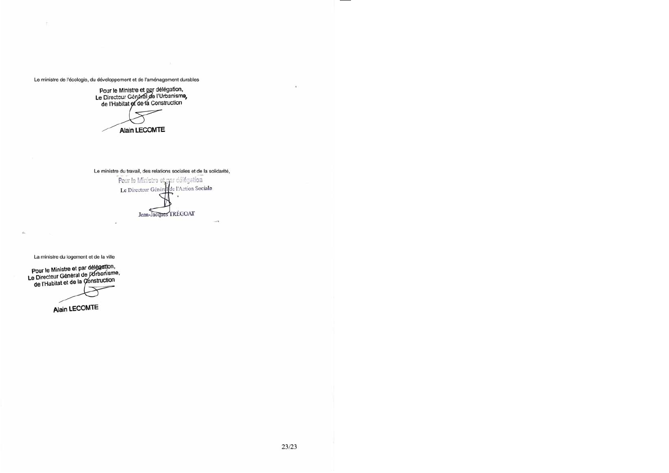Le ministre de l'écologie, du développement et de l'aménagement durables

Pour le Ministre et par délégation,<br>Le Directeur Général de l'Urbanisme,<br>de l'Habitat et de la Construction

**Alain LECOMTE** 

Le ministre du travail, des relations sociales et de la solidarité,

Pour le Ministre et par délégation Le Directeur Général de l'Action Sociale Jean-Jacques TRÉGOAT

or 19

La ministre du logement et de la ville

Pour le Ministre et par délégation,<br>Le Directeur Général de l'Urbanisme,<br>de l'Habitat et de la Construction

Alain LECOMTE